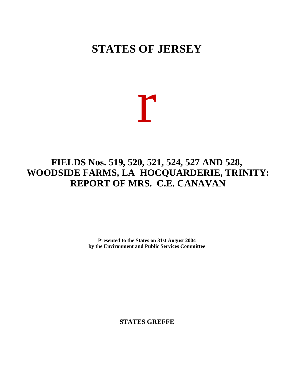# **STATES OF JERSEY**

# r

# **FIELDS Nos. 519, 520, 521, 524, 527 AND 528, WOODSIDE FARMS, LA HOCQUARDERIE, TRINITY: REPORT OF MRS. C.E. CANAVAN**

**Presented to the States on 31st August 2004 by the Environment and Public Services Committee**

**STATES GREFFE**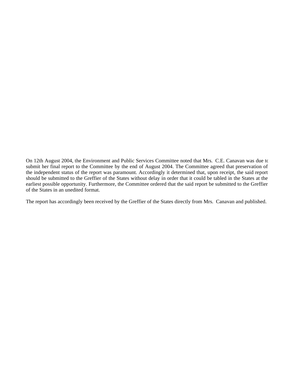On 12th August 2004, the Environment and Public Services Committee noted that Mrs. C.E. Canavan was due to submit her final report to the Committee by the end of August 2004. The Committee agreed that preservation of the independent status of the report was paramount. Accordingly it determined that, upon receipt, the said report should be submitted to the Greffier of the States without delay in order that it could be tabled in the States at the earliest possible opportunity. Furthermore, the Committee ordered that the said report be submitted to the Greffier of the States in an unedited format.

The report has accordingly been received by the Greffier of the States directly from Mrs. Canavan and published.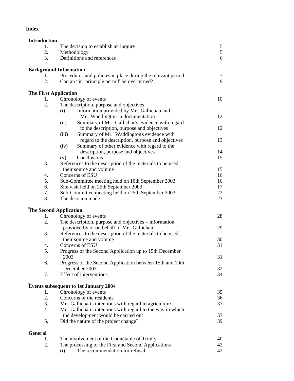# **Index**

| <b>Introduction</b> |                                                                                                           |    |
|---------------------|-----------------------------------------------------------------------------------------------------------|----|
| 1.                  | The decision to establish an inquiry                                                                      | 5  |
| 2.                  | Methodology                                                                                               | 5  |
| 3.                  | Definitions and references                                                                                | 6  |
|                     | <b>Background Information</b>                                                                             |    |
| 1.                  | Procedures and policies in place during the relevant period                                               | 7  |
| 2.                  | Can an "in principle permit" be overturned?                                                               | 9  |
|                     | <b>The First Application</b>                                                                              |    |
| 1.                  | Chronology of events                                                                                      | 10 |
| 2.                  | The description, purpose and objectives                                                                   |    |
|                     | Information provided by Mr. Gallichan and<br>(i)                                                          |    |
|                     | Mr. Waddington in documentation                                                                           | 12 |
|                     | Summary of Mr. Gallichan's evidence with regard<br>(ii)                                                   |    |
|                     | to the description, purpose and objectives                                                                | 12 |
|                     | (iii)<br>Summary of Mr. Waddington's evidence with                                                        |    |
|                     | regard to the description, purpose and objectives<br>Summary of other evidence with regard to the<br>(iv) | 13 |
|                     | description, purpose and objectives                                                                       | 14 |
|                     | Conclusions<br>(v)                                                                                        | 15 |
| 3.                  | References to the description of the materials to be used,                                                |    |
|                     | their source and volume                                                                                   | 15 |
| 4.                  | Concerns of ESU                                                                                           | 16 |
| 5.                  | Sub-Committee meeting held on 10th September 2003                                                         | 16 |
| 6.                  | Site visit held on 25th September 2003                                                                    | 17 |
| 7.                  | Sub-Committee meeting held on 25th September 2003                                                         | 22 |
| 8.                  | The decision made                                                                                         | 23 |
|                     | <b>The Second Application</b>                                                                             |    |
| 1.                  | Chronology of events                                                                                      | 28 |
| 2.                  | The description, purpose and objectives – information                                                     |    |
|                     | provided by or on behalf of Mr. Gallichan                                                                 | 29 |
| 3.                  | References to the description of the materials to be used,                                                |    |
|                     | their source and volume<br>Concerns of ESU                                                                | 30 |
| 4.<br>5.            | Progress of the Second Application up to 15th December                                                    | 31 |
|                     | 2003                                                                                                      | 31 |
| 6.                  | Progress of the Second Application between 15th and 19th                                                  |    |
|                     | December 2003                                                                                             | 32 |
| 7.                  | Effect of interventions                                                                                   | 34 |
|                     | <b>Events subsequent to 1st January 2004</b>                                                              |    |
| 1.                  | Chronology of events                                                                                      | 35 |
| 2.                  | Concerns of the residents                                                                                 | 36 |
| 3.                  | Mr. Gallichan's intentions with regard to agriculture                                                     | 37 |
| 4.                  | Mr. Gallichan's intentions with regard to the way in which                                                |    |
|                     | the development would be carried out                                                                      | 37 |
| 5.                  | Did the nature of the project change?                                                                     | 39 |
| <b>General</b>      |                                                                                                           |    |
| 1.                  | The involvement of the Connétable of Trinity                                                              | 40 |
| 2.                  | The processing of the First and Second Applications                                                       | 42 |
|                     | The recommendation for refusal<br>(i)                                                                     | 42 |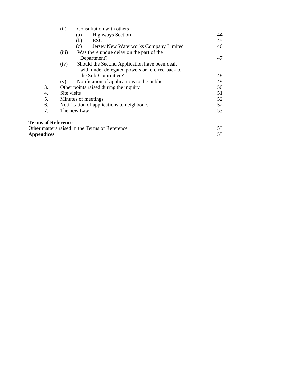|                           | (ii)<br>Consultation with others                      |    |
|---------------------------|-------------------------------------------------------|----|
|                           | <b>Highways Section</b><br>(a)                        | 44 |
|                           | ESU<br>(b)                                            | 45 |
|                           | Jersey New Waterworks Company Limited<br>(c)          | 46 |
|                           | Was there undue delay on the part of the<br>(iii)     |    |
|                           | Department?                                           | 47 |
|                           | Should the Second Application have been dealt<br>(iv) |    |
|                           | with under delegated powers or referred back to       |    |
|                           | the Sub-Committee?                                    | 48 |
|                           | Notification of applications to the public<br>(v)     | 49 |
| 3.                        | Other points raised during the inquiry                |    |
| 4.                        | Site visits                                           |    |
| 5.                        | Minutes of meetings                                   |    |
| 6.                        | Notification of applications to neighbours            | 52 |
| 7.                        | The new Law                                           | 53 |
| <b>Terms of Reference</b> |                                                       |    |
|                           | Other matters raised in the Terms of Reference        | 53 |
| <b>Appendices</b>         |                                                       | 55 |

Appendices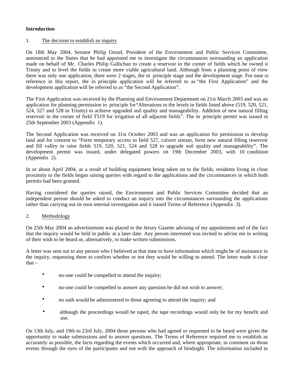## **Introduction**

#### 1. The decision to establish an inquiry

On 18th May 2004, Senator Philip Ozouf, President of the Environment and Public Services Committee, announced to the States that he had appointed me to investigate the circumstances surrounding an application made on behalf of Mr. Charles Philip Gallichan to create a reservoir in the corner of fields which he owned in Trinity and to level the fields to create more viable agricultural land. Although from a planning point of view there was only one application, there were 2 stages, the in principle stage and the development stage. For ease of reference in this report, the in principle application will be referred to as "the First Application" and the development application will be referred to as "the Second Application".

The First Application was received by the Planning and Environment Department on 21st March 2003 and was an application for planning permission in principle for"Alterations to the levels in fields listed above (519, 520, 521, 524, 527 and 528 in Trinity) to achieve upgraded soil quality and manageability. Addition of new natural filling reservoir in the corner of field T519 for irrigation of all adjacent fields". The in principle permit was issued on 25th September 2003 (Appendix 1).

The Second Application was received on 31st October 2003 and was an application for permission to develop land and for consent to "Form temporary access to field 527, culvert stream, form new natural filling reservoir and fill valley to raise fields 519, 520, 521, 524 and 528 to upgrade soil quality and manageability". The development permit was issued, under delegated powers on 19th December 2003, with 10 conditions (Appendix 2).

In or about April 2004, as a result of building equipment being taken on to the fields, residents living in close proximity to the fields began raising queries with regard to the applications and the circumstances in which both permits had been granted.

Having considered the queries raised, the Environment and Public Services Committee decided that an independent person should be asked to conduct an inquiry into the circumstances surrounding the applications rather than carrying out its own internal investigation and it issued Terms of Reference (Appendix 3).

#### 2. Methodology

On 25th May 2004 an advertisement was placed in the Jersey Gazette advising of my appointment and of the fact that the inquiry would be held in public at a later date. Any person interested was invited to advise me in writing of their wish to be heard or, alternatively, to make written submissions.

A letter was sent out to any person who I believed at that time to have information which might be of assistance in the inquiry, requesting them to confirm whether or not they would be willing to attend. The letter made it clear that  $-$ 

- no-one could be compelled to attend the inquiry;
- no-one could be compelled to answer any question he did not wish to answer;
- no oath would be administered to those agreeing to attend the inquiry; and
- although the proceedings would be taped, the tape recordings would only be for my benefit and use.

On 13th July, and 19th to 23rd July, 2004 those persons who had agreed or requested to be heard were given the opportunity to make submissions and to answer questions. The Terms of Reference required me to establish as accurately as possible, the facts regarding the events which occurred and, where appropriate, to comment on those events through the eyes of the participants and not with the approach of hindsight. The information included in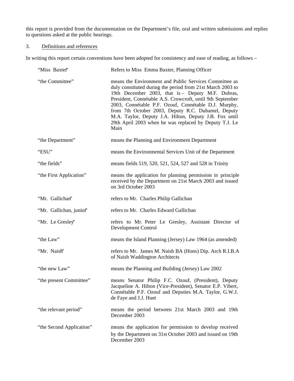this report is provided from the documentation on the Department's file, oral and written submissions and replies to questions asked at the public hearings.

# 3. Definitions and references

In writing this report certain conventions have been adopted for consistency and ease of reading, as follows –

| "Miss Baxter"            | Refers to Miss Emma Baxter, Planning Officer                                                                                                                                                                                                                                                                                                                                                                                                                                     |
|--------------------------|----------------------------------------------------------------------------------------------------------------------------------------------------------------------------------------------------------------------------------------------------------------------------------------------------------------------------------------------------------------------------------------------------------------------------------------------------------------------------------|
| "the Committee"          | means the Environment and Public Services Committee as<br>duly constituted during the period from 21st March 2003 to<br>19th December 2003, that is - Deputy M.F. Dubras,<br>President, Connétable A.S. Crowcroft, until 9th September<br>2003, Connétable P.F. Ozouf, Connétable D.J. Murphy,<br>from 7th October 2003, Deputy R.C. Duhamel, Deputy<br>M.A. Taylor, Deputy J.A. Hilton, Deputy J.B. Fox until<br>29th April 2003 when he was replaced by Deputy T.J. Le<br>Main |
| "the Department"         | means the Planning and Environment Department                                                                                                                                                                                                                                                                                                                                                                                                                                    |
| "ESU"                    | means the Environmental Services Unit of the Department                                                                                                                                                                                                                                                                                                                                                                                                                          |
| "the fields"             | means fields 519, 520, 521, 524, 527 and 528 in Trinity                                                                                                                                                                                                                                                                                                                                                                                                                          |
| "the First Application"  | means the application for planning permission in principle<br>received by the Department on 21st March 2003 and issued<br>on 3rd October 2003                                                                                                                                                                                                                                                                                                                                    |
| "Mr. Gallichan"          | refers to Mr. Charles Philip Gallichan                                                                                                                                                                                                                                                                                                                                                                                                                                           |
| "Mr. Gallichan, junior"  | refers to Mr. Charles Edward Gallichan                                                                                                                                                                                                                                                                                                                                                                                                                                           |
| "Mr. Le Gresley"         | refers to Mr. Peter Le Gresley, Assistant Director of<br>Development Control                                                                                                                                                                                                                                                                                                                                                                                                     |
| "the Law"                | means the Island Planning (Jersey) Law 1964 (as amended)                                                                                                                                                                                                                                                                                                                                                                                                                         |
| "Mr. Naish"              | refers to Mr. James M. Naish BA (Hons) Dip. Arch R.I.B.A<br>of Naish Waddington Architects                                                                                                                                                                                                                                                                                                                                                                                       |
| "the new Law"            | means the Planning and Building (Jersey) Law 2002                                                                                                                                                                                                                                                                                                                                                                                                                                |
| "the present Committee"  | means Senator Philip F.C. Ozouf, (President), Deputy<br>Jacqueline A. Hilton (Vice-President), Senator E.P. Vibert,<br>Connétable P.F. Ozouf and Deputies M.A. Taylor, G.W.J.<br>de Faye and J.J. Huet                                                                                                                                                                                                                                                                           |
| "the relevant period"    | means the period between 21st March 2003 and 19th<br>December 2003                                                                                                                                                                                                                                                                                                                                                                                                               |
| "the Second Application" | means the application for permission to develop received<br>by the Department on 31st October 2003 and issued on 19th<br>December 2003                                                                                                                                                                                                                                                                                                                                           |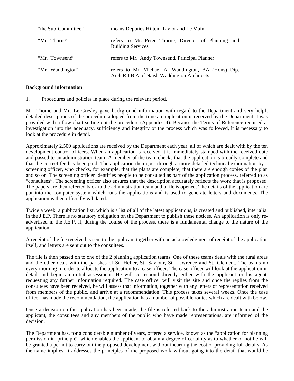| "the Sub-Committee" | means Deputies Hilton, Taylor and Le Main                                                          |
|---------------------|----------------------------------------------------------------------------------------------------|
| "Mr. Thorne"        | refers to Mr. Peter Thorne, Director of Planning and<br><b>Building Services</b>                   |
| "Mr. Townsend"      | refers to Mr. Andy Townsend, Principal Planner                                                     |
| "Mr. Waddington"    | refers to Mr. Michael A. Waddington, BA (Hons) Dip.<br>Arch R.I.B.A of Naish Waddington Architects |

#### **Background information**

#### 1. Procedures and policies in place during the relevant period.

Mr. Thorne and Mr. Le Gresley gave background information with regard to the Department and very helpful detailed descriptions of the procedure adopted from the time an application is received by the Department. I was provided with a flow chart setting out the procedure (Appendix 4). Because the Terms of Reference required an investigation into the adequacy, sufficiency and integrity of the process which was followed, it is necessary to look at the procedure in detail.

Approximately 2,500 applications are received by the Department each year, all of which are dealt with by the ten development control officers. When an application is received it is immediately stamped with the received date and passed to an administration team. A member of the team checks that the application is broadly complete and that the correct fee has been paid. The application then goes through a more detailed technical examination by a screening officer, who checks, for example, that the plans are complete, that there are enough copies of the plan and so on. The screening officer identifies people to be consulted as part of the application process, referred to as "consultees". The screening officer also ensures that the description accurately reflects the work that is proposed. The papers are then referred back to the administration team and a file is opened. The details of the application are put into the computer system which runs the applications and is used to generate letters and documents. The application is then officially validated.

Twice a week, a publication list, which is a list of all of the latest applications, is created and published, inter alia, in the J.E.P. There is no statutory obligation on the Department to publish these notices. An application is only readvertised in the J.E.P. if, during the course of the process, there is a fundamental change to the nature of the application.

A receipt of the fee received is sent to the applicant together with an acknowledgment of receipt of the application itself, and letters are sent out to the consultees.

The file is then passed on to one of the 2 planning application teams. One of these teams deals with the rural areas and the other deals with the parishes of St. Helier, St. Saviour, St. Lawrence and St. Clement. The teams me every morning in order to allocate the application to a case officer. The case officer will look at the application in detail and begin an initial assessment. He will correspond directly either with the applicant or his agent, requesting any further information required. The case officer will visit the site and once the replies from the consultees have been received, he will assess that information, together with any letters of representation received from members of the public, and arrive at a recommendation. This process takes several weeks. Once the case officer has made the recommendation, the application has a number of possible routes which are dealt with below.

Once a decision on the application has been made, the file is referred back to the administration team and the applicant, the consultees and any members of the public who have made representations, are informed of the decision.

The Department has, for a considerable number of years, offered a service, known as the "application for planning permission in principle", which enables the applicant to obtain a degree of certainty as to whether or not he will be granted a permit to carry out the proposed development without incurring the cost of providing full details. As the name implies, it addresses the principles of the proposed work without going into the detail that would be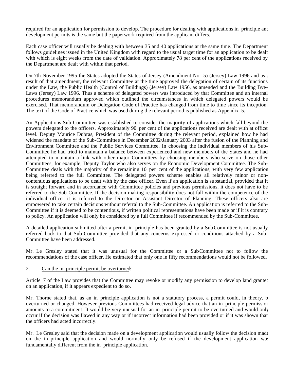required for an application for permission to develop. The procedure for dealing with applications in principle and development permits is the same but the paperwork required from the applicant differs.

Each case officer will usually be dealing with between 35 and 40 applications at the same time. The Department follows guidelines issued in the United Kingdom with regard to the usual target time for an application to be dealt with which is eight weeks from the date of validation. Approximately 78 per cent of the applications received by the Department are dealt with within that period.

On 7th November 1995 the States adopted the States of Jersey (Amendment No. 5) (Jersey) Law 1996 and as  $\epsilon$ result of that amendment, the relevant Committee at the time approved the delegation of certain of its functions under the Law, the Public Health (Control of Buildings) (Jersey) Law 1956, as amended and the Building Bye-Laws (Jersey) Law 1996. Thus a scheme of delegated powers was introduced by that Committee and an internal procedures memorandum approved which outlined the circumstances in which delegated powers would be exercised. That memorandum or Delegation Code of Practice has changed from time to time since its inception. The text of the Code of Practice which was used during the relevant period is published as Appendix 5.

An Applications Sub-Committee was established to consider the majority of applications which fall beyond the powers delegated to the officers. Approximately 90 per cent of the applications received are dealt with at officer level. Deputy Maurice Dubras, President of the Committee during the relevant period, explained how he had widened the mandate of the Sub-Committee in December 2002/January 2003 after the fusion of the Planning and Environment Committee and the Public Services Committee. In choosing the individual members of his Sub-Committee he had tried to maintain a balance between experienced and new members of the States and he had attempted to maintain a link with other major Committees by choosing members who serve on those other Committees, for example, Deputy Taylor who also serves on the Economic Development Committee. The Sub-Committee deals with the majority of the remaining 10 per cent of the applications, with very few applications being referred to the full Committee. The delegated powers scheme enables all relatively minor or noncontentious applications to be dealt with by the case officer. Even if an application is substantial, provided that it is straight forward and in accordance with Committee policies and previous permissions, it does not have to be referred to the Sub-Committee. If the decision-making responsibility does not fall within the competence of the individual officer it is referred to the Director or Assistant Director of Planning. These officers also are empowered to take certain decisions without referral to the Sub-Committee. An application is referred to the Sub-Committee if it is deemed to be contentious, if written political representations have been made or if it is contrary to policy. An application will only be considered by a full Committee if recommended by the Sub-Committee.

A detailed application submitted after a permit in principle has been granted by a Sub-Committee is not usually referred back to that Sub-Committee provided that any concerns expressed or conditions attached by a Sub-Committee have been addressed.

Mr. Le Gresley stated that it was unusual for the Committee or a Sub-Committee not to follow the recommendations of the case officer. He estimated that only one in fifty recommendations would not be followed.

#### 2. Can the in principle permit be overturned?

Article 7 of the Law provides that the Committee may revoke or modify any permission to develop land granted on an application, if it appears expedient to do so.

Mr. Thorne stated that, as an in principle application is not a statutory process, a permit could, in theory, be overturned or changed. However previous Committees had received legal advice that an in principle permission amounts to a commitment. It would be very unusual for an in principle permit to be overturned and would only occur if the decision was flawed in any way or if incorrect information had been provided or if it was shown that the officers had acted incorrectly.

Mr. Le Gresley said that the decision made on a development application would usually follow the decision made on the in principle application and would normally only be refused if the development application was fundamentally different from the in principle application.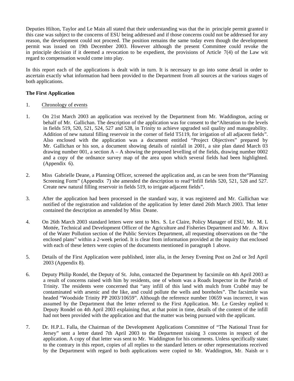Deputies Hilton, Taylor and Le Main all stated that their understanding was that the in principle permit granted in this case was subject to the concerns of ESU being addressed and if those concerns could not be addressed for any reason, the development could not proceed. The position remains the same today even though the development permit was issued on 19th December 2003. However although the present Committee could revoke the in principle decision if it deemed a revocation to be expedient, the provisions of Article  $7(4)$  of the Law with regard to compensation would come into play.

In this report each of the applications is dealt with in turn. It is necessary to go into some detail in order to ascertain exactly what information had been provided to the Department from all sources at the various stages of both applications.

#### **The First Application**

- 1. Chronology of events
- 1. On 21st March 2003 an application was received by the Department from Mr. Waddington, acting on behalf of Mr. Gallichan. The description of the application was for consent to the"Alteration to the levels in fields 519, 520, 521, 524, 527 and 528, in Trinity to achieve upgraded soil quality and manageability. Addition of new natural filling reservoir in the corner of field T5119, for irrigation of all adjacent fields". Also enclosed with the application was a document entitled "Project Objectives" prepared by Mr. Gallichan or his son, a document showing details of rainfall in 2001, a site plan dated March 03, drawing number 001, a section  $A - A$  showing the proposed levelling of the fields, drawing number 0002 and a copy of the ordnance survey map of the area upon which several fields had been highlighted. (Appendix 6).
- 2. Miss Gabrielle Deane, a Planning Officer, screened the application and, as can be seen from the"Planning Screening Form" (Appendix 7) she amended the description to read"Infill fields 520, 521, 528 and 527. Create new natural filling reservoir in fields 519, to irrigate adjacent fields".
- 3. After the application had been processed in the standard way, it was registered and Mr. Gallichan was notified of the registration and validation of the application by letter dated 26th March 2003. That letter contained the description as amended by Miss Deane.
- 4. On 26th March 2003 standard letters were sent to Mrs. S. Le Claire, Policy Manager of ESU, Mr. M. Le Mottée, Technical and Development Officer of the Agriculture and Fisheries Department and Mr. A. Rive of the Water Pollution section of the Public Services Department, all requesting observations on the "the enclosed plans" within a 2-week period. It is clear from information provided at the inquiry that enclosed with each of these letters were copies of the documents mentioned in paragraph 1 above.
- 5. Details of the First Application were published, inter alia, in the Jersey Evening Post on 2nd or 3rd April 2003 (Appendix 8).
- 6. Deputy Philip Rondel, the Deputy of St. John, contacted the Department by facsimile on 4th April 2003 as a result of concerns raised with him by residents, one of whom was a Roads Inspector in the Parish of Trinity. The residents were concerned that "any infill of this land with mulch from Crabbé may be contaminated with arsenic and the like, and could pollute the wells and boreholes". The facsimile was headed "Woodside Trinity PP 2003/10659". Although the reference number 10659 was incorrect, it was assumed by the Department that the letter referred to the First Application. Mr. Le Gresley replied to Deputy Rondel on 4th April 2003 explaining that, at that point in time, details of the content of the infill had not been provided with the application and that the matter was being pursued with the applicant.
- 7. Dr. H.P.L. Falla, the Chairman of the Development Applications Committee of "The National Trust for Jersey" sent a letter dated 7th April 2003 to the Department raising 3 concerns in respect of the application. A copy of that letter was sent to Mr. Waddington for his comments. Unless specifically stated to the contrary in this report, copies of all replies to the standard letters or other representations received by the Department with regard to both applications were copied to Mr. Waddington, Mr. Naish or  $t$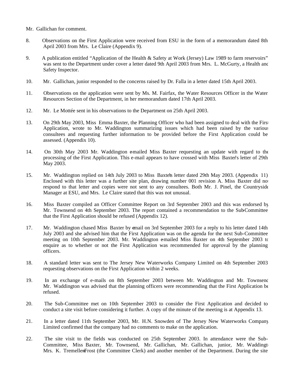- Mr. Gallichan for comment.
- 8. Observations on the First Application were received from ESU in the form of a memorandum dated 8th April 2003 from Mrs. Le Claire (Appendix 9).
- 9. A publication entitled "Application of the Health & Safety at Work (Jersey) Law 1989 to farm reservoirs" was sent to the Department under cover a letter dated 9th April 2003 from Mrs. L. McGurty, a Health and Safety Inspector.
- 10. Mr. Gallichan, junior responded to the concerns raised by Dr. Falla in a letter dated 15th April 2003.
- 11. Observations on the application were sent by Ms. M. Fairfax, the Water Resources Officer in the Water Resources Section of the Department, in her memorandum dated 17th April 2003.
- 12. Mr. Le Mottée sent in his observations to the Department on 25th April 2003.
- 13. On 29th May 2003, Miss Emma Baxter, the Planning Officer who had been assigned to deal with the First Application, wrote to Mr. Waddington summarizing issues which had been raised by the various consultees and requesting further information to be provided before the First Application could be assessed. (Appendix 10).
- 14. On 30th May 2003 Mr. Waddington e-mailed Miss Baxter requesting an update with regard to the processing of the First Application. This e-mail appears to have crossed with Miss Baxter's letter of 29th May 2003.
- 15. Mr. Waddington replied on 14th July 2003 to Miss Baxte's letter dated 29th May 2003. (Appendix 11). Enclosed with this letter was a further site plan, drawing number 001 revision A. Miss Baxter did not respond to that letter and copies were not sent to any consultees. Both Mr. J. Pinel, the Countryside Manager at ESU, and Mrs. Le Claire stated that this was not unusual.
- 16. Miss Baxter compiled an Officer Committee Report on 3rd September 2003 and this was endorsed by Mr. Townsend on 4th September 2003. The report contained a recommendation to the Sub-Committee that the First Application should be refused (Appendix 12).
- 17. Mr. Waddington chased Miss Baxter by email on 3rd September 2003 for a reply to his letter dated 14th July 2003 and she advised him that the First Application was on the agenda for the next Sub-Committee meeting on 10th September 2003. Mr. Waddington e-mailed Miss Baxter on 4th September 2003 to enquire as to whether or not the First Application was recommended for approval by the planning officers.
- 18. A standard letter was sent to The Jersey New Waterworks Company Limited on 4th September 2003 requesting observations on the First Application within 2 weeks.
- 19. In an exchange of e-mails on 8th September 2003 between Mr. Waddington and Mr. Townsend Mr. Waddington was advised that the planning officers were recommending that the First Application be refused.
- 20. The Sub-Committee met on 10th September 2003 to consider the First Application and decided to conduct a site visit before considering it further. A copy of the minute of the meeting is at Appendix 13.
- 21. In a letter dated 11th September 2003, Mr. H.N. Snowden of The Jersey New Waterworks Company Limited confirmed that the company had no comments to make on the application.
- 22. The site visit to the fields was conducted on 25th September 2003. In attendance were the Sub-Committee, Miss Baxter, Mr. Townsend, Mr. Gallichan, Mr. Gallichan, junior, Mr. Waddingt Mrs. K. TremellenFrost (the Committee Clerk) and another member of the Department. During the site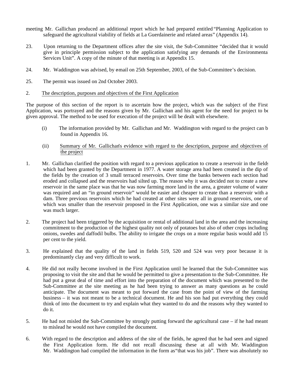- meeting Mr. Gallichan produced an additional report which he had prepared entitled "Planning Application to safeguard the agricultural viability of fields at La Guerdainerie and related areas" (Appendix 14).
- 23. Upon returning to the Department offices after the site visit, the Sub-Committee "decided that it would give in principle permission subject to the application satisfying any demands of the Environmental Services Unit". A copy of the minute of that meeting is at Appendix 15.
- 24. Mr. Waddington was advised, by e-mail on 25th September, 2003, of the Sub-Committee's decision.
- 25. The permit was issued on 2nd October 2003.
- 2. The description, purposes and objectives of the First Application

The purpose of this section of the report is to ascertain how the project, which was the subject of the First Application, was portrayed and the reasons given by Mr. Gallichan and his agent for the need for project to be given approval. The method to be used for execution of the project will be dealt with elsewhere.

- (i) The information provided by Mr. Gallichan and Mr. Waddington with regard to the project can be found in Appendix 16.
- (ii) Summary of Mr. Gallichan's evidence with regard to the description, purpose and objectives of the project
- 1. Mr. Gallichan clarified the position with regard to a previous application to create a reservoir in the fields which had been granted by the Department in 1977. A water storage area had been created in the dip of the fields by the creation of 3 small terraced reservoirs. Over time the banks between each section had eroded and collapsed and the reservoirs had silted up. The reason why it was decided not to create a new reservoir in the same place was that he was now farming more land in the area, a greater volume of water was required and an "in ground reservoir" would be easier and cheaper to create than a reservoir with a dam. Three previous reservoirs which he had created at other sites were all in ground reservoirs, one of which was smaller than the reservoir proposed in the First Application, one was a similar size and one was much larger.
- 2. The project had been triggered by the acquisition or rental of additional land in the area and the increasing commitment to the production of the highest quality not only of potatoes but also of other crops including onions, swedes and daffodil bulbs. The ability to irrigate the crops on a more regular basis would add 15 per cent to the yield.
- 3. He explained that the quality of the land in fields 519, 520 and 524 was very poor because it is predominantly clay and very difficult to work.
- 4. He did not really become involved in the First Application until he learned that the Sub-Committee was proposing to visit the site and that he would be permitted to give a presentation to the Sub-Committee. He had put a great deal of time and effort into the preparation of the document which was presented to the Sub-Committee at the site meeting as he had been trying to answer as many questions as he could anticipate. The document was meant to put forward the case from the point of view of the farming business – it was not meant to be a technical document. He and his son had put everything they could think of into the document to try and explain what they wanted to do and the reasons why they wanted to do it.
- 5. He had not misled the Sub-Committee by strongly putting forward the agricultural case if he had meant to mislead he would not have compiled the document.
- 6. With regard to the description and address of the site of the fields, he agreed that he had seen and signed the First Application form. He did not recall discussing these at all with Mr. Waddington. Mr. Waddington had compiled the information in the form as"that was his job". There was absolutely no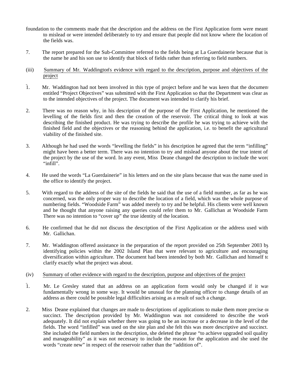- foundation to the comments made that the description and the address on the First Application form were meant to mislead or were intended deliberately to try and ensure that people did not know where the location of the fields was.
- 7. The report prepared for the Sub-Committee referred to the fields being at La Guerdainerie because that is the name he and his son use to identify that block of fields rather than referring to field numbers.
- (iii) Summary of Mr. Waddington's evidence with regard to the description, purpose and objectives of the project
- $\overline{1}$ . Mr. Waddington had not been involved in this type of project before and he was keen that the document entitled "Project Objectives" was submitted with the First Application so that the Department was clear as to the intended objectives of the project. The document was intended to clarify his brief.
- 2. There was no reason why, in his description of the purpose of the First Application, he mentioned the levelling of the fields first and then the creation of the reservoir. The critical thing to look at was describing the finished product. He was trying to describe the profile he was trying to achieve with the finished field and the objectives or the reasoning behind the application, i.e. to benefit the agricultural viability of the finished site.
- 3. Although he had used the words "levelling the fields" in his description he agreed that the term "infilling" might have been a better term. There was no intention to try and mislead anyone about the true intent of the project by the use of the word. In any event, Miss Deane changed the description to include the word "infill".
- 4. He used the words "La Guerdainerie" in his letters and on the site plans because that was the name used in the office to identify the project.
- 5. With regard to the address of the site of the fields he said that the use of a field number, as far as he was concerned, was the only proper way to describe the location of a field, which was the whole purpose of numbering fields. "Woodside Farm" was added merely to try and be helpful. His clients were well known and he thought that anyone raising any queries could refer them to Mr. Gallichan at Woodside Farm. There was no intention to "cover up" the true identity of the location.
- 6. He confirmed that he did not discuss the description of the First Application or the address used with Mr. Gallichan.
- 7. Mr. Waddington offered assistance in the preparation of the report provided on 25th September 2003 by identifying policies within the 2002 Island Plan that were relevant to agriculture and encouraging diversification within agriculture. The document had been intended by both Mr. Gallichan and himself to clarify exactly what the project was about.

#### (iv) Summary of other evidence with regard to the description, purpose and objectives of the project

- 1. Mr. Le Gresley stated that an address on an application form would only be changed if it was fundamentally wrong in some way. It would be unusual for the planning officer to change details of an address as there could be possible legal difficulties arising as a result of such a change.
- 2. Miss Deane explained that changes are made to descriptions of applications to make them more precise or succinct. The description provided by Mr. Waddington was not considered to describe the work adequately. It did not explain whether there was going to be an increase or a decrease in the level of the fields. The word "infilled" was used on the site plan and she felt this was more descriptive and succinct. She included the field numbers in the description, she deleted the phrase "to achieve upgraded soil quality and manageability" as it was not necessary to include the reason for the application and she used the words "create new" in respect of the reservoir rather than the "addition of".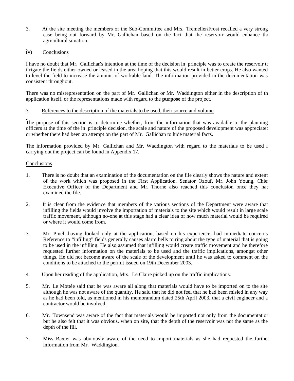3. At the site meeting the members of the Sub-Committee and Mrs. Tremellen-Frost recalled a very strong case being out forward by Mr. Gallichan based on the fact that the reservoir would enhance the agricultural situation.

## $\bar{v}(v)$  Conclusions

I have no doubt that Mr. Gallichan's intention at the time of the decision in principle was to create the reservoir to irrigate the fields either owned or leased in the area hoping that this would result in better crops. He also wanted to level the field to increase the amount of workable land. The information provided in the documentation was consistent throughout.

There was no misrepresentation on the part of Mr. Gallichan or Mr. Waddington either in the description of the application itself, or the representations made with regard to the **purpose** of the project.

## 3. References to the description of the materials to be used, their source and volume

The purpose of this section is to determine whether, from the information that was available to the planning officers at the time of the in principle decision, the scale and nature of the proposed development was appreciated or whether there had been an attempt on the part of Mr. Gallichan to hide material facts.

The information provided by Mr. Gallichan and Mr. Waddington with regard to the materials to be used in carrying out the project can be found in Appendix 17.

#### Conclusions

- 1. There is no doubt that an examination of the documentation on the file clearly shows the nature and extent of the work which was proposed in the First Application. Senator Ozouf, Mr. John Young, Chief Executive Officer of the Department and Mr. Thorne also reached this conclusion once they had examined the file.
- 2. It is clear from the evidence that members of the various sections of the Department were aware that infilling the fields would involve the importation of materials to the site which would result in large scale traffic movement, although no-one at this stage had a clear idea of how much material would be required or where it would come from.
- 3. Mr. Pinel, having looked only at the application, based on his experience, had immediate concerns. Reference to "infilling" fields generally causes alarm bells to ring about the type of material that is going to be used in the infilling. He also assumed that infilling would create traffic movement and he therefore requested further information on the materials to be used and the traffic implications, amongst other things. He did not become aware of the scale of the development until he was asked to comment on the conditions to be attached to the permit issued on 19th December 2003.
- 4. Upon her reading of the application, Mrs. Le Claire picked up on the traffic implications.
- 5. Mr. Le Mottée said that he was aware all along that materials would have to be imported on to the site, although he was not aware of the quantity. He said that he did not feel that he had been misled in any way as he had been told, as mentioned in his memorandum dated 25th April 2003, that a civil engineer and a contractor would be involved.
- 6. Mr. Townsend was aware of the fact that materials would be imported not only from the documentation but he also felt that it was obvious, when on site, that the depth of the reservoir was not the same as the depth of the fill.
- 7. Miss Baxter was obviously aware of the need to import materials as she had requested the further information from Mr. Waddington.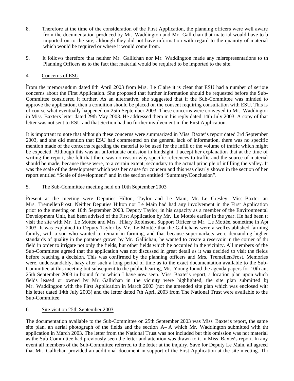- 8. Therefore at the time of the consideration of the First Application, the planning officers were well aware from the documentation produced by Mr. Waddington and Mr. Gallichan that material would have to be imported on to the site, although they did not have information with regard to the quantity of material which would be required or where it would come from.
- 9. It follows therefore that neither Mr. Gallichan nor Mr. Waddington made any misrepresentations to the Planning Officers as to the fact that material would be required to be imported to the site.

#### 4. Concerns of ESU

From the memorandum dated 8th April 2003 from Mrs. Le Claire it is clear that ESU had a number of serious concerns about the First Application. She proposed that further information should be requested before the Sub-Committee considered it further. As an alternative, she suggested that if the Sub-Committee was minded to approve the application, then a condition should be placed on the consent requiring consultation with ESU. This is of course what eventually happened on 25th September 2003. These concerns were conveyed to Mr. Waddington in Miss Baxter's letter dated 29th May 2003. He addressed them in his reply dated 14th July 2003. A copy of that letter was not sent to ESU and that Section had no further involvement in the First Application.

It is important to note that although these concerns were summarized in Miss Baxter's report dated 3rd September 2003, and she did mention that ESU had commented on the general lack of information, there was no specific mention made of the concerns regarding the material to be used for the infill or the volume of traffic which might be expected. Although this was an unfortunate omission in hindsight, I accept her explanation that at the time of writing the report, she felt that there was no reason why specific references to traffic and the source of material should be made, because these were, to a certain extent, secondary to the actual principle of infilling the valley. It was the scale of the development which was her cause for concern and this was clearly shown in the section of her report entitled "Scale of development" and in the section entitled "Summary/Conclusion".

#### 5. The Sub-Committee meeting held on 10th September 2003

Present at the meeting were Deputies Hilton, Taylor and Le Main, Mr. Le Gresley, Miss Baxter and Mrs. Tremellen-Frost. Neither Deputies Hilton nor Le Main had had any involvement in the First Application prior to the meeting on 10th September 2003. Deputy Taylor, in his capacity as a member of the Environmental Development Unit, had been advised of the First Application by Mr. Le Mottée earlier in the year. He had been to visit the site with Mr. Le Mottée and Mrs. Hilary Robinson, Support Officer to Mr. Le Mottée, sometime in April 2003. It was explained to Deputy Taylor by Mr. Le Mottée that the Gallichans were a well-established farming family, with a son who wanted to remain in farming, and that because supermarkets were demanding higher standards of quality in the potatoes grown by Mr. Gallichan, he wanted to create a reservoir in the corner of the field in order to irrigate not only the fields, but other fields which he occupied in the vicinity. All members of the Sub-Committee agreed that the application was not discussed in great detail as it was decided to visit the fields before reaching a decision. This was confirmed by the planning officers and Mrs. Tremellen-Frost. Memories were, understandably, hazy after such a long period of time as to the exact documentation available to the Sub-Committee at this meeting but subsequent to the public hearing, Mr. Young found the agenda papers for 10th and 25th September 2003 in bound form which I have now seen. Miss Baxter's report, a location plan upon which fields leased or owned by Mr. Gallichan in the vicinity were highlighted, the site plan submitted by Mr. Waddington with the First Application in March 2003 (not the amended site plan which was enclosed with his letter dated 14th July 2003) and the letter dated 7th April 2003 from The National Trust were available to the Sub-Committee.

#### 6. Site visit on 25th September 2003

The documentation available to the Sub-Committee on 25th September 2003 was Miss Baxter's report, the same site plan, an aerial photograph of the fields and the section  $A - A$  which Mr. Waddington submitted with the application in March 2003. The letter from the National Trust was not included but this omission was not material as the Sub-Committee had previously seen the letter and attention was drawn to it in Miss Baxter's report. In any event all members of the Sub-Committee referred to the letter at the inquiry. Save for Deputy Le Main, all agreed that Mr. Gallichan provided an additional document in support of the First Application at the site meeting. The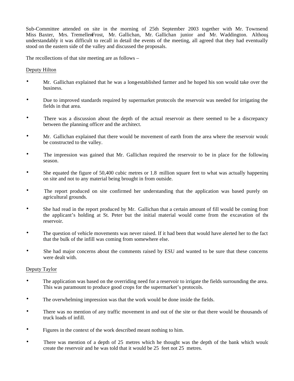Sub-Committee attended on site in the morning of 25th September 2003 together with Mr. Townsend, Miss Baxter, Mrs. TremellenFrost, Mr. Gallichan, Mr. Gallichan junior and Mr. Waddington. Although understandably it was difficult to recall in detail the events of the meeting, all agreed that they had eventually stood on the eastern side of the valley and discussed the proposals.

The recollections of that site meeting are as follows –

#### Deputy Hilton

- Mr. Gallichan explained that he was a long-established farmer and he hoped his son would take over the business.
- Due to improved standards required by supermarket protocols the reservoir was needed for irrigating the fields in that area.
- There was a discussion about the depth of the actual reservoir as there seemed to be a discrepancy between the planning officer and the architect.
- Mr. Gallichan explained that there would be movement of earth from the area where the reservoir would be constructed to the valley.
- The impression was gained that Mr. Gallichan required the reservoir to be in place for the following season.
- She equated the figure of 50,400 cubic metres or 1.8 million square feet to what was actually happening on site and not to any material being brought in from outside.
- The report produced on site confirmed her understanding that the application was based purely on agricultural grounds.
- She had read in the report produced by Mr. Gallichan that a certain amount of fill would be coming from the applicant's holding at St. Peter but the initial material would come from the excavation of the reservoir.
- The question of vehicle movements was never raised. If it had been that would have alerted her to the fact that the bulk of the infill was coming from somewhere else.
- She had major concerns about the comments raised by ESU and wanted to be sure that these concerns were dealt with.

#### Deputy Taylor

- The application was based on the overriding need for a reservoir to irrigate the fields surrounding the area. This was paramount to produce good crops for the supermarket's protocols.
- The overwhelming impression was that the work would be done inside the fields.
- There was no mention of any traffic movement in and out of the site or that there would be thousands of truck loads of infill.
- Figures in the context of the work described meant nothing to him.
- There was mention of a depth of 25 metres which he thought was the depth of the bank which would create the reservoir and he was told that it would be 25 feet not 25 metres.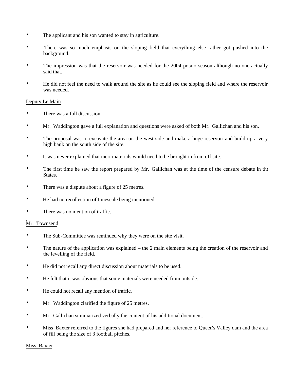- The applicant and his son wanted to stay in agriculture.
- There was so much emphasis on the sloping field that everything else rather got pushed into the background.
- The impression was that the reservoir was needed for the 2004 potato season although no-one actually said that.
- He did not feel the need to walk around the site as he could see the sloping field and where the reservoir was needed.

#### Deputy Le Main

- There was a full discussion.
- Mr. Waddington gave a full explanation and questions were asked of both Mr. Gallichan and his son.
- The proposal was to excavate the area on the west side and make a huge reservoir and build up a very high bank on the south side of the site.
- It was never explained that inert materials would need to be brought in from off site.
- The first time he saw the report prepared by Mr. Gallichan was at the time of the censure debate in the States.
- There was a dispute about a figure of 25 metres.
- He had no recollection of timescale being mentioned.
- There was no mention of traffic.

#### Mr. Townsend

- The Sub-Committee was reminded why they were on the site visit.
- The nature of the application was explained the 2 main elements being the creation of the reservoir and the levelling of the field.
- He did not recall any direct discussion about materials to be used.
- He felt that it was obvious that some materials were needed from outside.
- He could not recall any mention of traffic.
- Mr. Waddington clarified the figure of 25 metres.
- Mr. Gallichan summarized verbally the content of his additional document.
- Miss Baxter referred to the figures she had prepared and her reference to Queen's Valley dam and the area of fill being the size of 3 football pitches.

#### Miss Baxter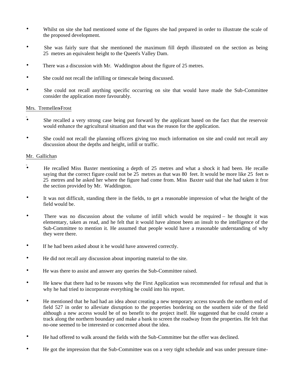- Whilst on site she had mentioned some of the figures she had prepared in order to illustrate the scale of the proposed development.
- She was fairly sure that she mentioned the maximum fill depth illustrated on the section as being 25 metres an equivalent height to the Queen's Valley Dam.
- There was a discussion with Mr. Waddington about the figure of 25 metres.
- She could not recall the infilling or timescale being discussed.
- She could not recall anything specific occurring on site that would have made the Sub-Committee consider the application more favourably.

#### Mrs. Tremellen-Frost

- She recalled a very strong case being put forward by the applicant based on the fact that the reservoir would enhance the agricultural situation and that was the reason for the application.
- She could not recall the planning officers giving too much information on site and could not recall any discussion about the depths and height, infill or traffic.

#### Mr. Gallichan

- He recalled Miss Baxter mentioning a depth of 25 metres and what a shock it had been. He recalle saying that the correct figure could not be 25 metres as that was 80 feet. It would be more like 25 feet not 25 metres and he asked her where the figure had come from. Miss Baxter said that she had taken it from the section provided by Mr. Waddington.
- It was not difficult, standing there in the fields, to get a reasonable impression of what the height of the field would be.
- There was no discussion about the volume of infill which would be required he thought it was elementary, taken as read, and he felt that it would have almost been an insult to the intelligence of the Sub-Committee to mention it. He assumed that people would have a reasonable understanding of why they were there.
- If he had been asked about it he would have answered correctly.
- He did not recall any discussion about importing material to the site.
- He was there to assist and answer any queries the Sub-Committee raised.
- He knew that there had to be reasons why the First Application was recommended for refusal and that is why he had tried to incorporate everything he could into his report.
- He mentioned that he had had an idea about creating a new temporary access towards the northern end of field 527 in order to alleviate disruption to the properties bordering on the southern side of the field although a new access would be of no benefit to the project itself. He suggested that he could create a track along the northern boundary and make a bank to screen the roadway from the properties. He felt that no-one seemed to be interested or concerned about the idea.
- He had offered to walk around the fields with the Sub-Committee but the offer was declined.
- He got the impression that the Sub-Committee was on a very tight schedule and was under pressure time-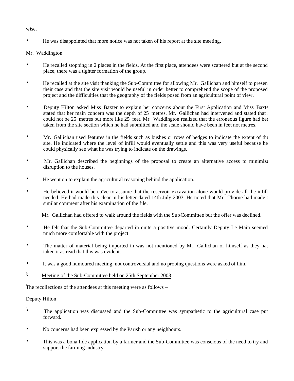wise.

• He was disappointed that more notice was not taken of his report at the site meeting.

### Mr. Waddington

- He recalled stopping in 2 places in the fields. At the first place, attendees were scattered but at the second place, there was a tighter formation of the group.
- He recalled at the site visit thanking the Sub-Committee for allowing Mr. Gallichan and himself to present their case and that the site visit would be useful in order better to comprehend the scope of the proposed project and the difficulties that the geography of the fields posed from an agricultural point of view.
- Deputy Hilton asked Miss Baxter to explain her concerns about the First Application and Miss Baxte stated that her main concern was the depth of 25 metres. Mr. Gallichan had intervened and stated that  $\pm$ could not be 25 metres but more like  $25$  feet. Mr. Waddington realized that the erroneous figure had been taken from the site section which he had submitted and the scale should have been in feet not metres.
- Mr. Gallichan used features in the fields such as bushes or rows of hedges to indicate the extent of the site. He indicated where the level of infill would eventually settle and this was very useful because he could physically see what he was trying to indicate on the drawings.
- Mr. Gallichan described the beginnings of the proposal to create an alternative access to minimize disruption to the houses.
- He went on to explain the agricultural reasoning behind the application.
- He believed it would be naïve to assume that the reservoir excavation alone would provide all the infill needed. He had made this clear in his letter dated 14th July 2003. He noted that Mr. Thorne had made  $\epsilon$ similar comment after his examination of the file.

Mr. Gallichan had offered to walk around the fields with the Sub-Committee but the offer was declined.

- He felt that the Sub-Committee departed in quite a positive mood. Certainly Deputy Le Main seemed much more comfortable with the project.
- The matter of material being imported in was not mentioned by Mr. Gallichan or himself as they had taken it as read that this was evident.
- It was a good humoured meeting, not controversial and no probing questions were asked of him.
- 7. Meeting of the Sub-Committee held on 25th September 2003

The recollections of the attendees at this meeting were as follows –

# Deputy Hilton

- The application was discussed and the Sub-Committee was sympathetic to the agricultural case put forward.
- No concerns had been expressed by the Parish or any neighbours.
- This was a bona fide application by a farmer and the Sub-Committee was conscious of the need to try and support the farming industry.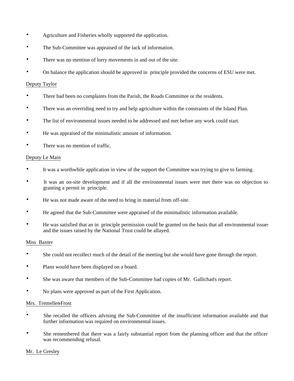- Agriculture and Fisheries wholly supported the application.
- The Sub-Committee was appraised of the lack of information.
- There was no mention of lorry movements in and out of the site.
- On balance the application should be approved in principle provided the concerns of ESU were met.

#### Deputy Taylor

- There had been no complaints from the Parish, the Roads Committee or the residents.
- There was an overriding need to try and help agriculture within the constraints of the Island Plan.
- The list of environmental issues needed to be addressed and met before any work could start.
- He was appraised of the minimalistic amount of information.
- There was no mention of traffic.

#### Deputy Le Main

- It was a worthwhile application in view of the support the Committee was trying to give to farming.
- It was an on-site development and if all the environmental issues were met there was no objection to granting a permit in principle.
- He was not made aware of the need to bring in material from off-site.
- He agreed that the Sub-Committee were appraised of the minimalistic information available.
- He was satisfied that an in principle permission could be granted on the basis that all environmental issues and the issues raised by the National Trust could be allayed.

#### Miss Baxter

- She could not recollect much of the detail of the meeting but she would have gone through the report.
- Plans would have been displayed on a board.
- She was aware that members of the Sub-Committee had copies of Mr. Gallichan's report.
- No plans were approved as part of the First Application.

#### Mrs. Tremellen-Frost

- She recalled the officers advising the Sub-Committee of the insufficient information available and that further information was required on environmental issues.
- She remembered that there was a fairly substantial report from the planning officer and that the officer was recommending refusal.

#### Mr. Le Gresley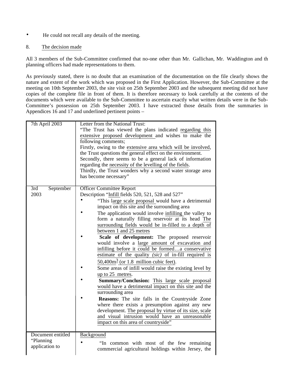• He could not recall any details of the meeting.

#### 8. The decision made

All 3 members of the Sub-Committee confirmed that no-one other than Mr. Gallichan, Mr. Waddington and th planning officers had made representations to them.

As previously stated, there is no doubt that an examination of the documentation on the file clearly shows the nature and extent of the work which was proposed in the First Application. However, the Sub-Committee at the meeting on 10th September 2003, the site visit on 25th September 2003 and the subsequent meeting did not have copies of the complete file in front of them. It is therefore necessary to look carefully at the contents of the documents which were available to the Sub-Committee to ascertain exactly what written details were in the Sub-Committee's possession on 25th September 2003. I have extracted those details from the summaries in Appendices  $16$  and 17 and underlined pertinent points –

| 7th April 2003                                   | Letter from the National Trust:<br>"The Trust has viewed the plans indicated regarding this<br>extensive proposed development and wishes to make the<br>following comments;<br>Firstly, owing to the extensive area which will be involved,<br>the Trust questions the general effect on the environment.<br>Secondly, there seems to be a general lack of information<br>regarding the necessity of the levelling of the fields.<br>Thirdly, the Trust wonders why a second water storage area<br>has become necessary"                                                                                                                                                                                                                                                                                                                                                                                                                                                                                                                                                                                                            |
|--------------------------------------------------|-------------------------------------------------------------------------------------------------------------------------------------------------------------------------------------------------------------------------------------------------------------------------------------------------------------------------------------------------------------------------------------------------------------------------------------------------------------------------------------------------------------------------------------------------------------------------------------------------------------------------------------------------------------------------------------------------------------------------------------------------------------------------------------------------------------------------------------------------------------------------------------------------------------------------------------------------------------------------------------------------------------------------------------------------------------------------------------------------------------------------------------|
| September<br>3rd<br>2003                         | <b>Officer Committee Report</b><br>Description "Infill fields 520, 521, 528 and 527"<br>"This large scale proposal would have a detrimental<br>impact on this site and the surrounding area<br>The application would involve infilling the valley to<br>form a naturally filling reservoir at its head The<br>surrounding fields would be in-filled to a depth of<br>between 1 and 25 metres<br>Scale of development: The proposed reservoir<br>would involve a large amount of excavation and<br>infilling before it could be formeda conservative<br>estimate of the quality (sic) of in-fill required is<br>$50,400m3$ (or 1.8 million cubic feet).<br>Some areas of infill would raise the existing level by<br>up to 25 metres.<br>Summary/Conclusion: This large scale proposal<br>would have a detrimental impact on this site and the<br>surrounding area<br><b>Reasons:</b> The site falls in the Countryside Zone<br>where there exists a presumption against any new<br>development. The proposal by virtue of its size, scale<br>and visual intrusion would have an unreasonable<br>impact on this area of countryside" |
| Document entitled<br>"Planning<br>application to | Background<br>"In common with most of the few remaining<br>commercial agricultural holdings within Jersey, the                                                                                                                                                                                                                                                                                                                                                                                                                                                                                                                                                                                                                                                                                                                                                                                                                                                                                                                                                                                                                      |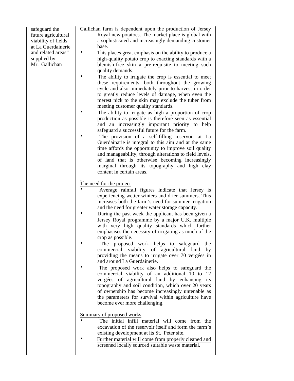safeguard the future agricultural viability of fields at La Guerdainerie and related areas" supplied by Mr. Gallichan

Gallichan farm is dependent upon the production of Jersey Royal new potatoes. The market place is global with a sophisticated and increasingly demanding customer base.

- This places great emphasis on the ability to produce a high-quality potato crop to exacting standards with a blemish-free skin a pre-requisite to meeting such quality demands.
- The ability to irrigate the crop is essential to meet these requirements, both throughout the growing cycle and also immediately prior to harvest in order to greatly reduce levels of damage, when even the merest nick to the skin may exclude the tuber from meeting customer quality standards.
- The ability to irrigate as high a proportion of crop production as possible is therefore seen as essential and an increasingly important priority to help safeguard a successful future for the farm.
- The provision of a self-filling reservoir at La Guerdainarie is integral to this aim and at the same time affords the opportunity to improve soil quality and manageability, through alterations to field levels, of land that is otherwise becoming increasingly marginal through its topography and high clay content in certain areas.

# The need for the project

- Average rainfall figures indicate that Jersey is experiencing wetter winters and drier summers. This increases both the farm's need for summer irrigation and the need for greater water storage capacity.
- During the past week the applicant has been given a Jersey Royal programme by a major U.K. multiple with very high quality standards which further emphasises the necessity of irrigating as much of the crop as possible.
- The proposed work helps to safeguard the commercial viability of agricultural land by providing the means to irrigate over 70 vergées in and around La Guerdainerie.
- The proposed work also helps to safeguard the commercial viability of an additional 10 to 12 vergées of agricultural land by enhancing its topography and soil condition, which over 20 years of ownership has become increasingly untenable as the parameters for survival within agriculture have become ever more challenging.

Summary of proposed works

- The initial infill material will come from the excavation of the reservoir itself and form the farm's existing development at its St. Peter site.
- Further material will come from properly cleaned and screened locally sourced suitable waste material.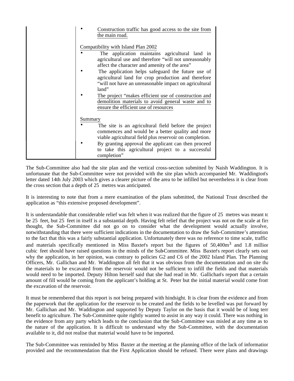|         | Construction traffic has good access to the site from<br>the main road.                                                                                                    |
|---------|----------------------------------------------------------------------------------------------------------------------------------------------------------------------------|
|         | Compatibility with Island Plan 2002<br>The application maintains agricultural land in                                                                                      |
|         | agricultural use and therefore "will not unreasonably<br>affect the character and amenity of the area"                                                                     |
|         | The application helps safeguard the future use of<br>agricultural land for crop production and therefore<br>"will not have an unreasonable impact on agricultural<br>land" |
|         | The project "makes efficient use of construction and<br>demolition materials to avoid general waste and to<br>ensure the efficient use of resources                        |
| Summary |                                                                                                                                                                            |
|         | The site is an agricultural field before the project<br>commences and would be a better quality and more<br>viable agricultural field plus reservoir on completion.        |
|         | By granting approval the applicant can then proceed<br>to take this agricultural project to a successful<br>completion"                                                    |

The Sub-Committee also had the site plan and the vertical cross-section submitted by Naish Waddington. It is unfortunate that the Sub-Committee were not provided with the site plan which accompanied Mr. Waddington's letter dated 14th July 2003 which gives a clearer picture of the area to be infilled but nevertheless it is clear from the cross section that a depth of 25 metres was anticipated.

It is interesting to note that from a mere examination of the plans submitted, the National Trust described the application as "this extensive proposed development".

It is understandable that considerable relief was felt when it was realized that the figure of 25 metres was meant to be 25 feet, but 25 feet in itself is a substantial depth. Having felt relief that the project was not on the scale at first thought, the Sub-Committee did not go on to consider what the development would actually involve, notwithstanding that there were sufficient indications in the documentation to draw the Sub-Committee's attention to the fact that this was a fairly substantial application. Unfortunately there was no reference to time scale, traffic and materials specifically mentioned in Miss Baxter's report but the figures of 50,400m<sup>3</sup> and 1.8 million cubic feet should have raised questions in the minds of the Sub-Committee. Miss Baxter's report clearly sets out why the application, in her opinion, was contrary to policies G2 and C6 of the 2002 Island Plan. The Planning Officers, Mr. Gallichan and Mr. Waddington all felt that it was obvious from the documentation and on site that the materials to be excavated from the reservoir would not be sufficient to infill the fields and that materials would need to be imported. Deputy Hilton herself said that she had read in Mr. Gallichan's report that a certain amount of fill would be coming from the applicant's holding at St. Peter but the initial material would come from the excavation of the reservoir.

It must be remembered that this report is not being prepared with hindsight. It is clear from the evidence and from the paperwork that the application for the reservoir to be created and the fields to be levelled was put forward by Mr. Gallichan and Mr. Waddington and supported by Deputy Taylor on the basis that it would be of long term benefit to agriculture. The Sub-Committee quite rightly wanted to assist in any way it could. There was nothing in the evidence from any party which leads to the conclusion that the Sub-Committee was misled at any time as to the nature of the application. It is difficult to understand why the Sub-Committee, with the documentation available to it, did not realise that material would have to be imported.

The Sub-Committee was reminded by Miss Baxter at the meeting at the planning office of the lack of information provided and the recommendation that the First Application should be refused. There were plans and drawings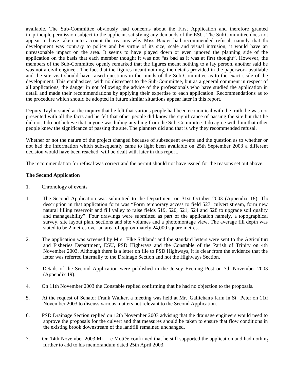available. The Sub-Committee obviously had concerns about the First Application and therefore granted in principle permission subject to the applicant satisfying any demands of the ESU. The Sub-Committee does not appear to have taken into account the reasons why Miss Baxter had recommended refusal, namely that the development was contrary to policy and by virtue of its size, scale and visual intrusion, it would have an unreasonable impact on the area. It seems to have played down or even ignored the planning side of the application on the basis that each member thought it was not "as bad as it was at first thought". However, the members of the Sub-Committee openly remarked that the figures meant nothing to a lay person, another said he was not a civil engineer. The fact that the figures meant nothing, the details provided in the paperwork available and the site visit should have raised questions in the minds of the Sub-Committee as to the exact scale of the development. This emphasizes, with no disrespect to the Sub-Committee, but as a general comment in respect of all applications, the danger in not following the advice of the professionals who have studied the application in detail and made their recommendations by applying their expertise to each application. Recommendations as to the procedure which should be adopted in future similar situations appear later in this report.

Deputy Taylor stated at the inquiry that he felt that various people had been economical with the truth, he was not presented with all the facts and he felt that other people did know the significance of passing the site but that he did not. I do not believe that anyone was hiding anything from the Sub-Committee. I do agree with him that other people knew the significance of passing the site. The planners did and that is why they recommended refusal.

Whether or not the nature of the project changed because of subsequent events and the question as to whether or not had the information which subsequently came to light been available on 25th September 2003 a different decision would have been reached, will be dealt with later in this report.

The recommendation for refusal was correct and the permit should not have issued for the reasons set out above.

#### **The Second Application**

- 1. Chronology of events
- 1. The Second Application was submitted to the Department on 31st October 2003 (Appendix 18). The description in that application form was "Form temporary access to field 527, culvert stream, form new natural filling reservoir and fill valley to raise fields 519, 520, 521, 524 and 528 to upgrade soil quality and manageability". Four drawings were submitted as part of the application namely, a topographical survey, site layout plan, sections and site volumes and a photomontage view. The average fill depth was stated to be 2 metres over an area of approximately 24,000 square metres.
- 2. The application was screened by Mrs. Elke Schlandt and the standard letters were sent to the Agriculture and Fisheries Department, ESU, PSD Highways and the Constable of the Parish of Trinity on 4th November 2003. Although there is a letter on file to PSD Highways, it is clear from the evidence that the letter was referred internally to the Drainage Section and not the Highways Section.
- 3. Details of the Second Application were published in the Jersey Evening Post on 7th November 2003 (Appendix 19).
- 4. On 11th November 2003 the Constable replied confirming that he had no objection to the proposals.
- 5. At the request of Senator Frank Walker, a meeting was held at Mr. Gallichan's farm in St. Peter on 11th November 2003 to discuss various matters not relevant to the Second Application.
- 6. PSD Drainage Section replied on 12th November 2003 advising that the drainage engineers would need to approve the proposals for the culvert and that measures should be taken to ensure that flow conditions in the existing brook downstream of the landfill remained unchanged.
- 7. On 14th November 2003 Mr. Le Mottée confirmed that he still supported the application and had nothing further to add to his memorandum dated 25th April 2003.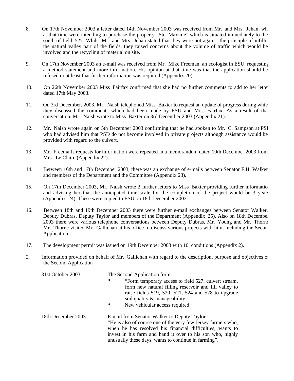- 8. On 17th November 2003 a letter dated 14th November 2003 was received from Mr. and Mrs. Jehan, who at that time were intending to purchase the property "Ste. Maxime" which is situated immediately to the south of field 527. Whilst Mr. and Mrs. Jehan stated that they were not against the principle of infillir the natural valley part of the fields, they raised concerns about the volume of traffic which would be involved and the recycling of material on site.
- 9. On 17th November 2003 an e-mail was received from Mr. Mike Freeman, an ecologist in ESU, requesting a method statement and more information. His opinion at that time was that the application should be refused or at least that further information was required (Appendix 20).
- 10. On 26th November 2003 Miss Fairfax confirmed that she had no further comments to add to her letter dated 17th May 2003.
- 11. On 3rd December, 2003, Mr. Naish telephoned Miss Baxter to request an update of progress during which they discussed the comments which had been made by ESU and Miss Fairfax. As a result of that conversation, Mr. Naish wrote to Miss Baxter on 3rd December 2003 (Appendix 21).
- 12. Mr. Naish wrote again on 5th December 2003 confirming that he had spoken to Mr. C. Sampson at PSI who had advised him that PSD do not become involved in private projects although assistance would be provided with regard to the culvert.
- 13. Mr. Freeman's requests for information were repeated in a memorandum dated 10th December 2003 from Mrs. Le Claire (Appendix 22).
- 14. Between 16th and 17th December 2003, there was an exchange of e-mails between Senator F.H. Walker and members of the Department and the Committee (Appendix 23).
- 15. On 17th December 2003, Mr. Naish wrote 2 further letters to Miss Baxter providing further information and advising her that the anticipated time scale for the completion of the project would be 3 years (Appendix 24). These were copied to ESU on 18th December 2003.
- 16. Between 18th and 19th December 2003 there were further e-mail exchanges between Senator Walker, Deputy Dubras, Deputy Taylor and members of the Department (Appendix 25). Also on 18th December 2003 there were various telephone conversations between Deputy Dubras, Mr. Young and Mr. Thorne. Mr. Thorne visited Mr. Gallichan at his office to discuss various projects with him, including the Second Application.
- 17. The development permit was issued on 19th December 2003 with 10 conditions (Appendix 2).
- 2. Information provided on behalf of Mr. Gallichan with regard to the description, purpose and objectives of the Second Application

| 31st October 2003  | The Second Application form<br>"Form temporary access to field 527, culvert stream,<br>$\bullet$<br>form new natural filling reservoir and fill valley to<br>raise fields 519, 520, 521, 524 and 528 to upgrade<br>soil quality & manageability"<br>New vehicular access required<br>$\bullet$  |
|--------------------|-------------------------------------------------------------------------------------------------------------------------------------------------------------------------------------------------------------------------------------------------------------------------------------------------|
| 18th December 2003 | E-mail from Senator Walker to Deputy Taylor<br>"He is also of course one of the very few Jersey farmers who,<br>when he has resolved his financial difficulties, wants to<br>invest in his farm and hand it over to his son who, highly<br>unusually these days, wants to continue in farming". |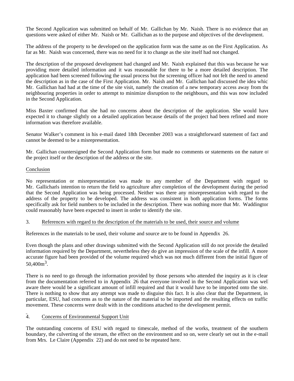The Second Application was submitted on behalf of Mr. Gallichan by Mr. Naish. There is no evidence that an questions were asked of either Mr. Naish or Mr. Gallichan as to the purpose and objectives of the development.

The address of the property to be developed on the application form was the same as on the First Application. As far as Mr. Naish was concerned, there was no need for it to change as the site itself had not changed.

The description of the proposed development had changed and Mr. Naish explained that this was because he was providing more detailed information and it was reasonable for there to be a more detailed description. The application had been screened following the usual process but the screening officer had not felt the need to amend the description as in the case of the First Application. Mr. Naish and Mr. Gallichan had discussed the idea which Mr. Gallichan had had at the time of the site visit, namely the creation of a new temporary access away from the neighbouring properties in order to attempt to minimize disruption to the neighbours, and this was now included in the Second Application.

Miss Baxter confirmed that she had no concerns about the description of the application. She would have expected it to change slightly on a detailed application because details of the project had been refined and more information was therefore available.

Senator Walker's comment in his e-mail dated 18th December 2003 was a straightforward statement of fact and cannot be deemed to be a misrepresentation.

Mr. Gallichan countersigned the Second Application form but made no comments or statements on the nature of the project itself or the description of the address or the site.

#### Conclusion

No representation or misrepresentation was made to any member of the Department with regard to Mr. Gallichan's intention to return the field to agriculture after completion of the development during the period that the Second Application was being processed. Neither was there any misrepresentation with regard to the address of the property to be developed. The address was consistent in both application forms. The forms specifically ask for field numbers to be included in the description. There was nothing more that Mr. Waddingtor could reasonably have been expected to insert in order to identify the site.

#### 3. References with regard to the description of the materials to be used, their source and volume

References in the materials to be used, their volume and source are to be found in Appendix 26.

Even though the plans and other drawings submitted with the Second Application still do not provide the detailed information required by the Department, nevertheless they do give an impression of the scale of the infill. A more accurate figure had been provided of the volume required which was not much different from the initial figure of  $50,400 \text{m}^3$ .

There is no need to go through the information provided by those persons who attended the inquiry as it is clear from the documentation referred to in Appendix 26 that everyone involved in the Second Application was well aware there would be a significant amount of infill required and that it would have to be imported onto the site. There is nothing to show that any attempt was made to disguise this fact. It is also clear that the Department, in particular, ESU, had concerns as to the nature of the material to be imported and the resulting effects on traffic movement. These concerns were dealt with in the conditions attached to the development permit.

#### 4. Concerns of Environmental Support Unit

The outstanding concerns of ESU with regard to timescale, method of the works, treatment of the southern boundary, the culverting of the stream, the effect on the environment and so on, were clearly set out in the e-mail from Mrs. Le Claire (Appendix 22) and do not need to be repeated here.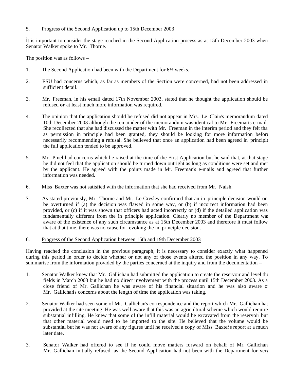#### 5. Progress of the Second Application up to 15th December 2003

It is important to consider the stage reached in the Second Application process as at 15th December 2003 when Senator Walker spoke to Mr. Thorne.

The position was as follows –

- 1. The Second Application had been with the Department for 6½ weeks.
- 2. ESU had concerns which, as far as members of the Section were concerned, had not been addressed in sufficient detail.
- 3. Mr. Freeman, in his e-mail dated 17th November 2003, stated that he thought the application should be refused **or** at least much more information was required.
- 4. The opinion that the application should be refused did not appear in Mrs. Le Claire's memorandum dated 10th December 2003 although the remainder of the memorandum was identical to Mr. Freeman's e-mail. She recollected that she had discussed the matter with Mr. Freeman in the interim period and they felt that as permission in principle had been granted, they should be looking for more information before necessarily recommending a refusal. She believed that once an application had been agreed in principle the full application tended to be approved.
- 5. Mr. Pinel had concerns which he raised at the time of the First Application but he said that, at that stage, he did not feel that the application should be turned down outright as long as conditions were set and met by the applicant. He agreed with the points made in Mr. Freeman's e-mails and agreed that further information was needed.
- 6. Miss Baxter was not satisfied with the information that she had received from Mr. Naish.
- 7. As stated previously, Mr. Thorne and Mr. Le Gresley confirmed that an in principle decision would only be overturned if (a) the decision was flawed in some way, or (b) if incorrect information had been provided, or (c) if it was shown that officers had acted incorrectly or (d) if the detailed application was fundamentally different from the in principle application. Clearly no member of the Department was aware of the existence of any such circumstance as at 15th December 2003 and therefore it must follow that at that time, there was no cause for revoking the in principle decision.

### 6. Progress of the Second Application between 15th and 19th December 2003

Having reached the conclusion in the previous paragraph, it is necessary to consider exactly what happened during this period in order to decide whether or not any of those events altered the position in any way. To summarise from the information provided by the parties concerned at the inquiry and from the documentation –

- 1. Senator Walker knew that Mr. Gallichan had submitted the application to create the reservoir and level the fields in March 2003 but he had no direct involvement with the process until 15th December 2003. As a close friend of Mr. Gallichan he was aware of his financial situation and he was also aware of Mr. Gallichan's concerns about the length of time the application was taking.
- 2. Senator Walker had seen some of Mr. Gallichan's correspondence and the report which Mr. Gallichan had provided at the site meeting. He was well aware that this was an agricultural scheme which would require substantial infilling. He knew that some of the infill material would be excavated from the reservoir but that other material would need to be imported to the site. He believed that the volume would be substantial but he was not aware of any figures until he received a copy of Miss Baxter's report at a much later date.
- 3. Senator Walker had offered to see if he could move matters forward on behalf of Mr. Gallichan. Mr. Gallichan initially refused, as the Second Application had not been with the Department for very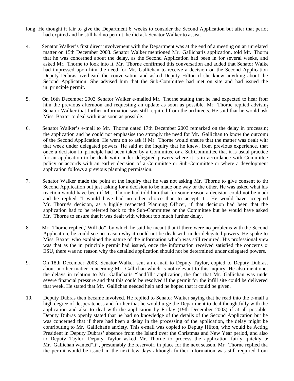- long. He thought it fair to give the Department 6 weeks to consider the Second Application but after that period had expired and he still had no permit, he did ask Senator Walker to assist.
- 4. Senator Walker's first direct involvement with the Department was at the end of a meeting on an unrelated matter on 15th December 2003. Senator Walker mentioned Mr. Gallichan's application, told Mr. Thorne that he was concerned about the delay, as the Second Application had been in for several weeks, and asked Mr. Thorne to look into it. Mr. Thorne confirmed this conversation and added that Senator Walker had impressed upon him the need for Mr. Gallichan to receive a decision on the Second Application. Deputy Dubras overheard the conversation and asked Deputy Hilton if she knew anything about the Second Application. She advised him that the Sub-Committee had met on site and had issued the in principle permit.
- 5. On 16th December 2003 Senator Walker e-mailed Mr. Thorne stating that he had expected to hear from him the previous afternoon and requesting an update as soon as possible. Mr. Thorne replied advising Senator Walker that further information was still required from the architects. He said that he would ask Miss Baxter to deal with it as soon as possible.
- 6. Senator Walker's e-mail to Mr. Thorne dated 17th December 2003 remarked on the delay in processing the application and he could not emphasise too strongly the need for Mr. Gallichan to know the outcome of the Second Application. He went on to ask if Mr. Thorne would ensure that the matter was dealt with that week under delegated powers. He said at the inquiry that he knew, from previous experience, that once a decision in principle had been taken by a Committee or a Sub-Committee that it is usual practice for an application to be dealt with under delegated powers where it is in accordance with Committee policy or accords with an earlier decision of a Committee or Sub-Committee or where a development application follows a previous planning permission.
- 7. Senator Walker made the point at the inquiry that he was not asking Mr. Thorne to give consent to the Second Application but just asking for a decision to be made one way or the other. He was asked what his reaction would have been if Mr. Thorne had told him that for some reason a decision could not be made and he replied "I would have had no other choice than to accept it". He would have accepted Mr. Thorne's decision, as a highly respected Planning Officer, if that decision had been that the application had to be referred back to the Sub-Committee or the Committee but he would have asked Mr. Thorne to ensure that it was dealt with without too much further delay.
- 8. Mr. Thorne replied,"Will do", by which he said he meant that if there were no problems with the Second Application, he could see no reason why it could not be dealt with under delegated powers. He spoke to Miss Baxter who explained the nature of the information which was still required. His professional view was that as the in principle permit had issued, once the information received satisfied the concerns of ESU, there was no reason why the detailed application should not be determined under delegated powers.
- 9. On 18th December 2003, Senator Walker sent an e-mail to Deputy Taylor, copied to Deputy Dubras, about another matter concerning Mr. Gallichan which is not relevant to this inquiry. He also mentioned the delays in relation to Mr. Gallichan's "landfill" application, the fact that Mr. Gallichan was under severe financial pressure and that this could be resolved if the permit for the infill site could be delivered that week. He stated that Mr. Gallichan needed help and he hoped that it could be given.
- 10. Deputy Dubras then became involved. He replied to Senator Walker saying that he read into the e-mail a high degree of desperateness and further that he would urge the Department to deal thoughtfully with the application and also to deal with the application by Friday (19th December 2003) if at all possible. Deputy Dubras openly stated that he had no knowledge of the details of the Second Application but he was concerned that if there had been a delay in the processing of the application, the delay might be contributing to Mr. Gallichan's anxiety. This e-mail was copied to Deputy Hilton, who would be Acting President in Deputy Dubras' absence from the Island over the Christmas and New Year period, and also to Deputy Taylor. Deputy Taylor asked Mr. Thorne to process the application fairly quickly as Mr. Gallichan wanted "it", presumably the reservoir, in place for the next season. Mr. Thorne replied that the permit would be issued in the next few days although further information was still required from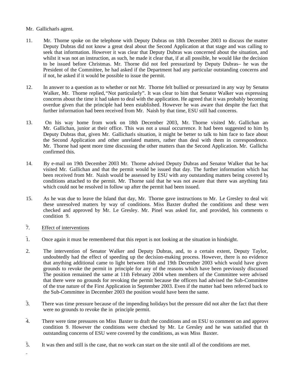#### Mr. Gallichan's agent.

- 11. Mr. Thorne spoke on the telephone with Deputy Dubras on 18th December 2003 to discuss the matter. Deputy Dubras did not know a great deal about the Second Application at that stage and was calling to seek that information. However it was clear that Deputy Dubras was concerned about the situation, and whilst it was not an instruction, as such, he made it clear that, if at all possible, he would like the decision to be issued before Christmas. Mr. Thorne did not feel pressurized by Deputy Dubras- he was the President of the Committee, he had asked if the Department had any particular outstanding concerns and if not, he asked if it would be possible to issue the permit.
- 12. In answer to a question as to whether or not Mr. Thorne felt bullied or pressurized in any way by Senator Walker, Mr. Thorne replied,"Not particularly". It was clear to him that Senator Walker was expressing concerns about the time it had taken to deal with the application. He agreed that it was probably becoming overdue given that the principle had been established. However he was aware that despite the fact that further information had been received from Mr. Naish by that time, ESU still had concerns.
- 13. On his way home from work on 18th December 2003, Mr. Thorne visited Mr. Gallichan an Mr. Gallichan, junior at their office. This was not a usual occurrence. It had been suggested to him by Deputy Dubras that, given Mr. Gallichan's situation, it might be better to talk to him face to face about the Second Application and other unrelated matters, rather than deal with them in correspondence. Mr. Thorne had spent more time discussing the other matters than the Second Application. Mr. Gallicha confirmed this.
- 14. By e-mail on 19th December 2003 Mr. Thorne advised Deputy Dubras and Senator Walker that he had visited Mr. Gallichan and that the permit would be issued that day. The further information which had been received from Mr. Naish would be assessed by ESU with any outstanding matters being covered by conditions attached to the permit. Mr. Thorne said that he was not aware that there was anything fatal which could not be resolved in follow up after the permit had been issued.
- 15. As he was due to leave the Island that day, Mr. Thorne gave instructions to Mr. Le Gresley to deal with these unresolved matters by way of conditions. Miss Baxter drafted the conditions and these were checked and approved by Mr. Le Gresley. Mr. Pinel was asked for, and provided, his comments on condition 9.
- 7. Effect of interventions
- 1. Once again it must be remembered that this report is not looking at the situation in hindsight.
- 2. The intervention of Senator Walker and Deputy Dubras, and, to a certain extent, Deputy Taylor, undoubtedly had the effect of speeding up the decision-making process. However, there is no evidence that anything additional came to light between 16th and 19th December 2003 which would have given grounds to revoke the permit in principle for any of the reasons which have been previously discussed. The position remained the same at 11th February 2004 when members of the Committee were advised that there were no grounds for revoking the permit because the officers had advised the Sub-Committee of the true nature of the First Application in September 2003. Even if the matter had been referred back to the Sub-Committee in December 2003 the position would have been the same.
- 3. There was time pressure because of the impending holidays but the pressure did not alter the fact that there were no grounds to revoke the in principle permit.
- $\overline{4}$ . There were time pressures on Miss Baxter to draft the conditions and on ESU to comment on and approve condition 9. However the conditions were checked by Mr. Le Gresley and he was satisfied that the outstanding concerns of ESU were covered by the conditions, as was Miss Baxter.
- 5. It was then and still is the case, that no work can start on the site until all of the conditions are met.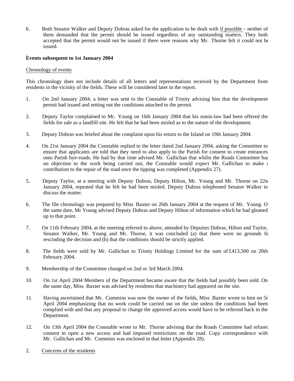6. Both Senator Walker and Deputy Dubras asked for the application to be dealt with if possible – neither of them demanded that the permit should be issued regardless of any outstanding matters. They both accepted that the permit would not be issued if there were reasons why Mr. Thorne felt it could not be issued.

#### **Events subsequent to 1st January 2004**

#### Chronology of events

This chronology does not include details of all letters and representations received by the Department from residents in the vicinity of the fields. These will be considered later in the report.

- 1. On 2nd January 2004, a letter was sent to the Constable of Trinity advising him that the development permit had issued and setting out the conditions attached to the permit.
- 2. Deputy Taylor complained to Mr. Young on 16th January 2004 that his son-in-law had been offered the fields for sale as a landfill site. He felt that he had been misled as to the nature of the development.
- 3. Deputy Dubras was briefed about the complaint upon his return to the Island on 19th January 2004.
- 4. On 21st January 2004 the Constable replied to the letter dated 2nd January 2004, asking the Committee to ensure that applicants are told that they need to also apply to the Parish for consent to create entrances onto Parish bye-roads. He had by that time advised Mr. Gallichan that whilst the Roads Committee had no objection to the work being carried out, the Constable would expect Mr. Gallichan to make  $\epsilon$ contribution to the repair of the road once the tipping was completed (Appendix 27).
- 5. Deputy Taylor, at a meeting with Deputy Dubras, Deputy Hilton, Mr. Young and Mr. Thorne on 22n January 2004, repeated that he felt he had been misled. Deputy Dubras telephoned Senator Walker to discuss the matter.
- 6. The file chronology was prepared by Miss Baxter on 26th January 2004 at the request of Mr. Young. On the same date, Mr Young advised Deputy Dubras and Deputy Hilton of information which he had gleaned up to that point.
- 7. On 11th February 2004, at the meeting referred to above, attended by Deputies Dubras, Hilton and Taylor, Senator Walker, Mr. Young and Mr. Thorne, it was concluded (a) that there were no grounds for rescinding the decision and (b) that the conditions should be strictly applied.
- 8. The fields were sold by Mr. Gallichan to Trinity Holdings Limited for the sum of £413,500 on 20th February 2004.
- 9. Membership of the Committee changed on 2nd or 3rd March 2004.
- 10. On 1st April 2004 Members of the Department became aware that the fields had possibly been sold. On the same day, Miss Baxter was advised by residents that machinery had appeared on the site.
- 11. Having ascertained that Mr. Cummins was now the owner of the fields, Miss Baxter wrote to him on 5th April 2004 emphasizing that no work could be carried out on the site unless the conditions had been complied with and that any proposal to change the approved access would have to be referred back to the Department.
- 12. On 13th April 2004 the Constable wrote to Mr. Thorne advising that the Roads Committee had refused consent to open a new access and had imposed restrictions on the road. Copy correspondence with Mr. Gallichan and Mr. Cummins was enclosed in that letter (Appendix 28).
- 2. Concerns of the residents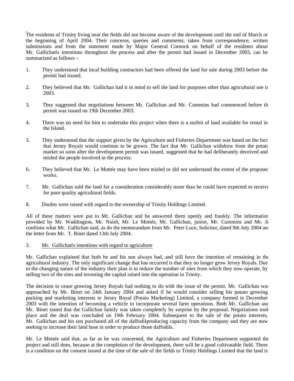The residents of Trinity living near the fields did not become aware of the development until the end of March or the beginning of April 2004. Their concerns, queries and comments, taken from correspondence, written submissions and from the statement made by Major General Cornock on behalf of the residents about Mr. Gallichan's intentions throughout the process and after the permit had issued in December 2003, can be summarized as follows –

- 1. They understood that local building contractors had been offered the land for sale during 2003 before the permit had issued.
- 2. They believed that Mr. Gallichan had it in mind to sell the land for purposes other than agricultural use in 2003.
- 3. They suggested that negotiations between Mr. Gallichan and Mr. Cummins had commenced before the permit was issued on 19th December 2003.
- 4. There was no need for him to undertake this project when there is a surfeit of land available for rental in the Island.
- 5. They understood that the support given by the Agriculture and Fisheries Department was based on the fact that Jersey Royals would continue to be grown. The fact that Mr. Gallichan withdrew from the potato market so soon after the development permit was issued, suggested that he had deliberately deceived and misled the people involved in the process.
- 6. They believed that Mr. Le Mottée may have been misled or did not understand the extent of the proposed works.
- 7. Mr. Gallichan sold the land for a consideration considerably more than he could have expected to receive for poor quality agricultural fields.
- 8. Doubts were raised with regard to the ownership of Trinity Holdings Limited.

All of these matters were put to Mr. Gallichan and he answered them openly and frankly. The information provided by Mr. Waddington, Mr. Naish, Mr. Le Mottée, Mr. Gallichan, junior, Mr. Cummins and Mr. Je confirms what Mr. Gallichan said, as do the memorandum from Mr. Peter Luce, Solicitor, dated 9th July 2004 and the letter from Mr. T. Binet dated 13th July 2004.

#### 3. Mr. Gallichan's intentions with regard to agriculture

Mr. Gallichan explained that both he and his son always had, and still have the intention of remaining in the agricultural industry. The only significant change that has occurred is that they no longer grow Jersey Royals. Due to the changing nature of the industry their plan is to reduce the number of sites from which they now operate, by selling two of the sites and investing the capital raised into the operation in Trinity.

The decision to cease growing Jersey Royals had nothing to do with the issue of the permit. Mr. Gallichan was approached by Mr. Binet on 24th January 2004 and asked if he would consider selling his potato growing, packing and marketing interests to Jersey Royal (Potato Marketing) Limited, a company formed in December 2003 with the intention of becoming a vehicle to incorporate several farm operations. Both Mr. Gallichan and Mr. Binet stated that the Gallichan family was taken completely by surprise by the proposal. Negotiations took place and the deal was concluded on 19th February 2004. Subsequent to the sale of the potato interests, Mr. Gallichan and his son purchased all of the daffodil-producing capacity from the company and they are now seeking to increase their land base in order to produce those daffodils.

Mr. Le Mottée said that, as far as he was concerned, the Agriculture and Fisheries Department supported the project and still does, because at the completion of the development, there will be a good cultivatable field. There is a condition on the consent issued at the time of the sale of the fields to Trinity Holdings Limited that the land is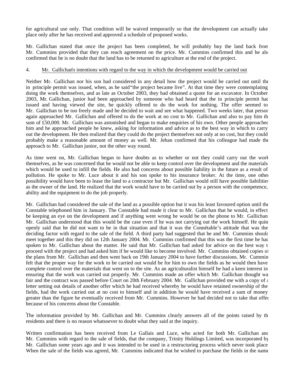for agricultural use only. That condition will be waived temporarily so that the development can actually take place only after he has received and approved a schedule of proposed works.

Mr. Gallichan stated that once the project has been completed, he will probably buy the land back from Mr. Cummins provided that they can reach agreement on the price. Mr. Cummins confirmed this and he also confirmed that he is no doubt that the land has to be returned to agriculture at the end of the project.

#### 4. Mr. Gallichan's intentions with regard to the way in which the development would be carried out

Neither Mr. Gallichan nor his son had considered in any detail how the project would be carried out until the in principle permit was issued, when, as he said"the project became live". At that time they were contemplating doing the work themselves, and as late as October 2003, they had obtained a quote for an excavator. In October 2003, Mr. Gallichan, junior had been approached by someone who had heard that the in principle permit had issued and having viewed the site, he quickly offered to do the work for nothing. The offer seemed to Mr. Gallichan to be too freely made and he decided to wait and see what happened. Two weeks later, that person again approached Mr. Gallichan and offered to do the work at no cost to Mr. Gallichan and also to pay him th sum of £50,000. Mr. Gallichan was astonished and began to make enquiries of his own. Other people approached him and he approached people he knew, asking for information and advice as to the best way in which to carry out the development. He then realized that they could do the project themselves not only at no cost, but they could probably make a reasonable amount of money as well. Mr. Jehan confirmed that his colleague had made the approach to Mr. Gallichan junior, not the other way round.

As time went on, Mr. Gallichan began to have doubts as to whether or not they could carry out the work themselves, as he was concerned that he would not be able to keep control over the development and the materials which would be used to infill the fields. He also had concerns about possible liability in the future as a result of pollution. He spoke to Mr. Luce about it and his son spoke to his insurance broker. At the time, one other possibility would have been to lease the land to a contractor but Mr. Gallichan would still have possible liabilities as the owner of the land. He realized that the work would have to be carried out by a person with the competence, ability and the equipment to do the job properly.

Mr. Gallichan had considered the sale of the land as a possible option but it was his least favoured option until the Constable telephoned him in January. The Constable had made it clear to Mr. Gallichan that he would, in effect, be keeping an eye on the development and if anything went wrong he would be on the phone to Mr. Gallichan. Mr. Gallichan understood that this would be the case even if he was not carrying out the work himself. He quite openly said that he did not want to be in that situation and that it was the Connétable's attitude that was the deciding factor with regard to the sale of the field. A third party had suggested that he and Mr. Cummins should meet together and this they did on 12th January 2004. Mr. Cummins confirmed that this was the first time he had spoken to Mr. Gallichan about the matter. He said that Mr. Gallichan had asked for advice on the best way  $t$ proceed with the project and had asked him if he would like to become involved. Mr. Cummins obtained copies of the plans from Mr. Gallichan and then went back on 19th January 2004 to have further discussions. Mr. Cummin felt that the proper way for the work to be carried out would be for him to own the fields as he would then have complete control over the materials that went on to the site. As an agriculturalist himself he had a keen interest in ensuring that the work was carried out properly. Mr. Cummins made an offer which Mr. Gallichan thought was fair and the contract was passed before Court on 20th February 2004. Mr. Gallichan provided me with a copy of  $\epsilon$ letter setting out details of another offer which he had received whereby he would have retained ownership of the fields, had the work carried out at no cost to himself and in addition he would have received a sum of money greater than the figure he eventually received from Mr. Cummins. However he had decided not to take that offer because of his concerns about the Constable.

The information provided by Mr. Gallichan and Mr. Cummins clearly answers all of the points raised by the residents and there is no reason whatsoever to doubt what they said at the inquiry.

Written confirmation has been received from Le Gallais and Luce, who acted for both Mr. Gallichan and Mr. Cummins with regard to the sale of fields, that the company, Trinity Holdings Limited, was incorporated by Mr. Gallichan some years ago and it was intended to be used in a restructuring process which never took place. When the sale of the fields was agreed, Mr. Cummins indicated that he wished to purchase the fields in the name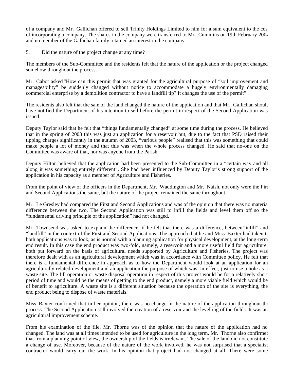of a company and Mr. Gallichan offered to sell Trinity Holdings Limited to him for a sum equivalent to the cost of incorporating a company. The shares in the company were transferred to Mr. Cummins on 19th February 2004 and no member of the Gallichan family retained an interest in the company.

#### 5. Did the nature of the project change at any time?

The members of the Sub-Committee and the residents felt that the nature of the application or the project changed somehow throughout the process.

Mr. Cabot asked "How can this permit that was granted for the agricultural purpose of "soil improvement and manageability" be suddenly changed without notice to accommodate a hugely environmentally damaging commercial enterprise by a demolition contractor to have a landfill tip? It changes the use of the permit".

The residents also felt that the sale of the land changed the nature of the application and that Mr. Gallichan should have notified the Department of his intention to sell before the permit in respect of the Second Application was issued.

Deputy Taylor said that he felt that "things fundamentally changed" at some time during the process. He believed that in the spring of 2003 this was just an application for a reservoir but, due to the fact that PSD raised their tipping charges significantly in the autumn of 2003, "various people" realised that this was something that could make people a lot of money and that this was when the whole process changed. He said that no-one on the Committee was aware of that, nor was anyone from the Parish.

Deputy Hilton believed that the application had been presented to the Sub-Committee in a "certain way and all along it was something entirely different". She had been influenced by Deputy Taylor's strong support of the application in his capacity as a member of Agriculture and Fisheries.

From the point of view of the officers in the Department, Mr. Waddington and Mr. Naish, not only were the First and Second Applications the same, but the nature of the project remained the same throughout.

Mr. Le Gresley had compared the First and Second Applications and was of the opinion that there was no material difference between the two. The Second Application was still to infill the fields and level them off so the "fundamental driving principle of the application" had not changed.

Mr. Townsend was asked to explain the difference, if he felt that there was a difference, between "infill" and "landfill" in the context of the First and Second Applications. The approach that he and Miss Baxter had taken to both applications was to look, as is normal with a planning application for physical development, at the long-term end result. In this case the end product was two-fold, namely, a reservoir and a more useful field for agriculture, both put forward on the basis of agricultural needs supported by Agriculture and Fisheries. The project was therefore dealt with as an agricultural development which was in accordance with Committee policy. He felt that there is a fundamental difference in approach as to how the Department would look at an application for an agriculturally related development and an application the purpose of which was, in effect, just to use a hole as a waste site. The fill operation or waste disposal operation in respect of this project would be for a relatively short period of time and would be the means of getting to the end product, namely a more viable field which would be of benefit to agriculture. A waste site is a different situation because the operation of the site is everything, the end product being to dispose of waste materials.

Miss Baxter confirmed that in her opinion, there was no change in the nature of the application throughout the process. The Second Application still involved the creation of a reservoir and the levelling of the fields. It was an agricultural improvement scheme.

From his examination of the file, Mr. Thorne was of the opinion that the nature of the application had not changed. The land was at all times intended to be used for agriculture in the long term. Mr. Thorne also confirmed that from a planning point of view, the ownership of the fields is irrelevant. The sale of the land did not constitute a change of use. Moreover, because of the nature of the work involved, he was not surprised that a specialist contractor would carry out the work. In his opinion that project had not changed at all. There were some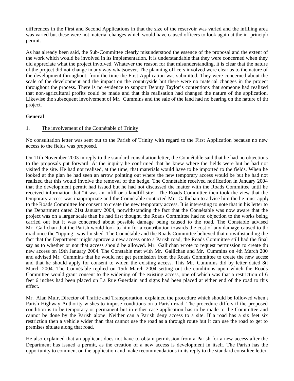differences in the First and Second Applications in that the size of the reservoir was varied and the infilling area was varied but these were not material changes which would have caused officers to look again at the in principle permit.

As has already been said, the Sub-Committee clearly misunderstood the essence of the proposal and the extent of the work which would be involved in its implementation. It is understandable that they were concerned when they did appreciate what the project involved. Whatever the reason for that misunderstanding, it is clear that the nature of the project did not change in any way whatsoever. The planning officers involved were clear as to the nature of the development throughout, from the time the First Application was submitted. They were concerned about the scale of the development and the impact on the countryside but there were no material changes in the project throughout the process. There is no evidence to support Deputy Taylor's contentions that someone had realized that non-agricultural profits could be made and that this realisation had changed the nature of the application. Likewise the subsequent involvement of Mr. Cummins and the sale of the land had no bearing on the nature of the project.

#### **General**

### 1. The involvement of the Connétable of Trinity

No consultation letter was sent out to the Parish of Trinity with regard to the First Application because no new access to the fields was proposed.

On 11th November 2003 in reply to the standard consultation letter, the Connétable said that he had no objections to the proposals put forward. At the inquiry he confirmed that he knew where the fields were but he had not visited the site. He had not realised, at the time, that materials would have to be imported to the fields. When he looked at the plan he had seen an arrow pointing out where the new temporary access would be but he had not realized that this would involve the removal of the hedge. The Connétable received notification in January 2004 that the development permit had issued but he had not discussed the matter with the Roads Committee until he received information that "it was an infill or a landfill site". The Roads Committee then took the view that the temporary access was inappropriate and the Connétable contacted Mr. Gallichan to advise him the he must apply to the Roads Committee for consent to create the new temporary access. It is interesting to note that in his letter to the Department dated 21st January 2004, notwithstanding the fact that the Connétable was now aware that the project was on a larger scale than he had first thought, the Roads Committee had no objection to the works being carried out but it was concerned about possible damage being caused to the road. The Constable advised Mr. Gallichan that the Parish would look to him for a contribution towards the cost of any damage caused to the road once the "tipping" was finished. The Connétable and the Roads Committee believed that notwithstanding the fact that the Department might approve a new access onto a Parish road, the Roads Committee still had the final say as to whether or not that access should be allowed. Mr. Gallichan wrote to request permission to create the new access on 19th January 2004. The Constable met with Mr. Gallichan and Mr. Cummins on 4th March 2004 and advised Mr. Cummins that he would not get permission from the Roads Committee to create the new access and that he should apply for consent to widen the existing access. This Mr. Cummins did by letter dated 8th March 2004. The Connétable replied on 15th March 2004 setting out the conditions upon which the Roads Committee would grant consent to the widening of the existing access, one of which was that a restriction of 6 feet 6 inches had been placed on La Rue Guerdain and signs had been placed at either end of the road to this effect.

Mr. Alan Muir, Director of Traffic and Transportation, explained the procedure which should be followed when  $\epsilon$ Parish Highway Authority wishes to impose conditions on a Parish road. The procedure differs if the proposed condition is to be temporary or permanent but in either case application has to be made to the Committee and cannot be done by the Parish alone. Neither can a Parish deny access to a site. If a road has a six feet six restriction then a vehicle wider than that cannot use the road as a through route but it can use the road to get to premises situate along that road.

He also explained that an applicant does not have to obtain permission from a Parish for a new access after the Department has issued a permit, as the creation of a new access is development in itself. The Parish has the opportunity to comment on the application and make recommendations in its reply to the standard consultee letter.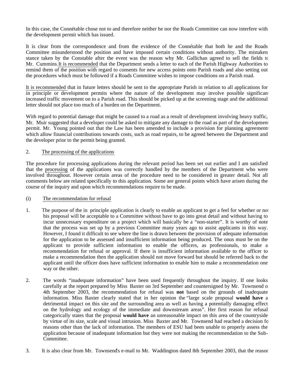In this case, the Connétable chose not to and therefore neither he nor the Roads Committee can now interfere with the development permit which has issued.

It is clear from the correspondence and from the evidence of the Connétable that both he and the Roads Committee misunderstood the position and have imposed certain conditions without authority. The mistaken stance taken by the Constable after the event was the reason why Mr. Gallichan agreed to sell the fields to Mr. Cummins.It is recommended that the Department sends a letter to each of the Parish Highway Authorities to remind them of the position with regard to consents for new access points onto Parish roads and also setting out the procedures which must be followed if a Roads Committee wishes to impose conditions on a Parish road.

It is recommended that in future letters should be sent to the appropriate Parish in relation to all applications for in principle or development permits where the nature of the development may involve possible significant increased traffic movement on to a Parish road. This should be picked up at the screening stage and the additional letter should not place too much of a burden on the Department.

With regard to potential damage that might be caused to a road as a result of development involving heavy traffic, Mr. Muir suggested that a developer could be asked to mitigate any damage to the road as part of the development permit. Mr. Young pointed out that the Law has been amended to include a provision for planning agreements which allow financial contributions towards costs, such as road repairs, to be agreed between the Department and the developer prior to the permit being granted.

#### 2. The processing of the applications

The procedure for processing applications during the relevant period has been set out earlier and I am satisfied that the processing of the applications was correctly handled by the members of the Department who were involved throughout. However certain areas of the procedure need to be considered in greater detail. Not all comments below are related specifically to this application. Some are general points which have arisen during the course of the inquiry and upon which recommendations require to be made.

#### (i) The recommendation for refusal

- 1. The purpose of the in principle application is clearly to enable an applicant to get a feel for whether or not his proposal will be acceptable to a Committee without have to go into great detail and without having to incur unnecessary expenditure on a project which will basically be a "non-starter". It is worthy of note that the process was set up by a previous Committee many years ago to assist applicants in this way. However, I found it difficult to see where the line is drawn between the provision of adequate information for the application to be assessed and insufficient information being produced. The onus must be on the applicant to provide sufficient information to enable the officers, as professionals, to make a recommendation for refusal or approval. If there is insufficient information available to the officer to make a recommendation then the application should not move forward but should be referred back to the applicant until the officer does have sufficient information to enable him to make a recommendation one way or the other.
- 2. The words "inadequate information" have been used frequently throughout the inquiry. If one looks carefully at the report prepared by Miss Baxter on 3rd September and countersigned by Mr. Townsend on 4th September 2003, the recommendation for refusal was **not** based on the grounds of inadequate information. Miss Baxter clearly stated that in her opinion the "large scale proposal **would have** a detrimental impact on this site and the surrounding area as well as having a potentially damaging effect on the hydrology and ecology of the immediate and downstream areas". Her first reason for refusal categorically states that the proposal **would have** an unreasonable impact on this area of the countryside by virtue of its size, scale and visual intrusion. Miss Baxter and Mr. Townsend had reached a decision for reasons other than the lack of information. The members of ESU had been unable to properly assess the application because of inadequate information but they were not making the recommendation to the Sub-Committee.
- 3. It is also clear from Mr. Townsend's e-mail to Mr. Waddington dated 8th September 2003, that the reason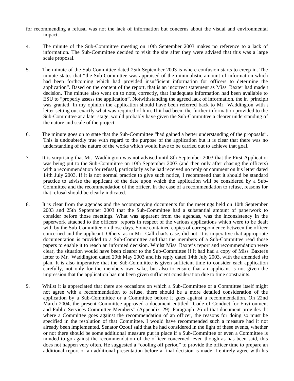- for recommending a refusal was not the lack of information but concerns about the visual and environmental impact.
- 4. The minute of the Sub-Committee meeting on 10th September 2003 makes no reference to a lack of information. The Sub-Committee decided to visit the site after they were advised that this was a large scale proposal.
- 5. The minute of the Sub-Committee dated 25th September 2003 is where confusion starts to creep in. The minute states that "the Sub-Committee was appraised of the minimalistic amount of information which had been forthcoming which had provided insufficient information for officers to determine the application". Based on the content of the report, that is an incorrect statement as Miss Baxter had made  $\epsilon$ decision. The minute also went on to note, correctly, that inadequate information had been available to ESU to "properly assess the application". Notwithstanding the agreed lack of information, the in principle was granted. In my opinion the application should have been referred back to Mr. Waddington with  $\epsilon$ letter setting out exactly what was required of him. If it had been, the further information provided to the Sub-Committee at a later stage, would probably have given the Sub-Committee a clearer understanding of the nature and scale of the project.
- 6. The minute goes on to state that the Sub-Committee "had gained a better understanding of the proposals". This is undoubtedly true with regard to the purpose of the application but it is clear that there was no understanding of the nature of the works which would have to be carried out to achieve that goal.
- 7. It is surprising that Mr. Waddington was not advised until 8th September 2003 that the First Application was being put to the Sub-Committee on 10th September 2003 (and then only after chasing the officers) with a recommendation for refusal, particularly as he had received no reply or comment on his letter dated 14th July 2003. If it is not normal practice to give such notice, I recommend that it should be standard practice to advise the applicant of the date upon which the application will be considered by a Sub-Committee and the recommendation of the officer. In the case of a recommendation to refuse, reasons for that refusal should be clearly indicated.
- 8. It is clear from the agendas and the accompanying documents for the meetings held on 10th September 2003 and 25th September 2003 that the Sub-Committee had a substantial amount of paperwork to consider before those meetings. What was apparent from the agendas, was the inconsistency in the paperwork attached to the officers' reports in respect of the various applications which were to be dealt with by the Sub-Committee on those days. Some contained copies of correspondence between the officer concerned and the applicant. Others, as in Mr. Gallichan's case, did not. It is imperative that appropriate documentation is provided to a Sub-Committee and that the members of a Sub-Committee read those papers to enable it to reach an informed decision. Whilst Miss Baxter's report and recommendation were clear, the situation would have been clearer to the Sub-Committee if it had had a copy of Miss Baxter's letter to Mr. Waddington dated 29th May 2003 and his reply dated 14th July 2003, with the amended site plan. It is also imperative that the Sub-Committee is given sufficient time to consider each application carefully, not only for the members own sake, but also to ensure that an applicant is not given the impression that the application has not been given sufficient consideration due to time constraints.
- 9. Whilst it is appreciated that there are occasions on which a Sub-Committee or a Committee itself might not agree with a recommendation to refuse, there should be a more detailed consideration of the application by a Sub-Committee or a Committee before it goes against a recommendation. On 22nd March 2004, the present Committee approved a document entitled "Code of Conduct for Environment and Public Services Committee Members" (Appendix 29). Paragraph 26 of that document provides that where a Committee goes against the recommendation of an officer, the reasons for doing so must be specified in the resolution of that Committee. I would have recommended such a measure had it not already been implemented. Senator Ozouf said that he had considered in the light of these events, whether or not there should be some additional measure put in place if a Sub-Committee or even a Committee is minded to go against the recommendation of the officer concerned, even though as has been said, this does not happen very often. He suggested a "cooling off period" to provide the officer time to prepare an additional report or an additional presentation before a final decision is made. I entirely agree with his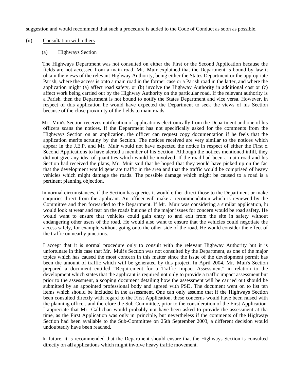suggestion and would recommend that such a procedure is added to the Code of Conduct as soon as possible.

#### (ii) Consultation with others

#### (a) Highways Section

 The Highways Department was not consulted on either the First or the Second Application because the fields are not accessed from a main road. Mr. Muir explained that the Department is bound by law to obtain the views of the relevant Highway Authority, being either the States Department or the appropriate Parish, where the access is onto a main road in the former case or a Parish road in the latter, and where the application might (a) affect road safety, or (b) involve the Highway Authority in additional cost or (c) affect work being carried out by the Highway Authority on the particular road. If the relevant authority is a Parish, then the Department is not bound to notify the States Department and vice versa. However, in respect of this application he would have expected the Department to seek the views of his Section because of the close proximity of the fields to main roads.

 Mr. Muir's Section receives notification of applications electronically from the Department and one of his officers scans the notices. If the Department has not specifically asked for the comments from the Highways Section on an application, the officer can request copy documentation if he feels that the application merits scrutiny by the Section. The notices received are very similar to the notices which appear in the J.E.P. and Mr. Muir would not have expected the notice in respect of either the First or Second Applications to have alerted a member of his Section. Although the notices mentioned infill, they did not give any idea of quantities which would be involved. If the road had been a main road and his Section had received the plans, Mr. Muir said that he hoped that they would have picked up on the fact that the development would generate traffic in the area and that the traffic would be comprised of heavy vehicles which might damage the roads. The possible damage which might be caused to a road is a pertinent planning objection.

 In normal circumstances, if the Section has queries it would either direct those to the Department or make enquiries direct from the applicant. An officer will make a recommendation which is reviewed by the Committee and then forwarded to the Department. If Mr. Muir was considering a similar application, he would look at wear and tear on the roads but one of the major issues for concern would be road safety. He would want to ensure that vehicles could gain entry to and exit from the site in safety without endangering other users of the road. He would also want to ensure that the vehicles could negotiate the access safely, for example without going onto the other side of the road. He would consider the effect of the traffic on nearby junctions.

 I accept that it is normal procedure only to consult with the relevant Highway Authority but it is unfortunate in this case that Mr. Muir's Section was not consulted by the Department, as one of the major topics which has caused the most concern in this matter since the issue of the development permit has been the amount of traffic which will be generated by this project. In April 2004, Mr. Muir's Section prepared a document entitled "Requirement for a Traffic Impact Assessment" in relation to the development which states that the applicant is required not only to provide a traffic impact assessment but prior to the assessment, a scoping document detailing how the assessment will be carried out should be submitted by an appointed professional body and agreed with PSD. The document went on to list ten items which should be included in the assessment. One can only assume that if the Highways Section been consulted directly with regard to the First Application, these concerns would have been raised with the planning officer, and therefore the Sub-Committee, prior to the consideration of the First Application. I appreciate that Mr. Gallichan would probably not have been asked to provide the assessment at that time, as the First Application was only in principle, but nevertheless if the comments of the Highways Section had been available to the Sub-Committee on 25th September 2003, a different decision would undoubtedly have been reached.

 In future, it is recommended that the Department should ensure that the Highways Section is consulted directly on **all** applications which might involve heavy traffic movement.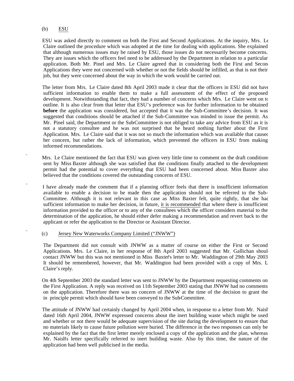#### (b) ESU

 ESU was asked directly to comment on both the First and Second Applications. At the inquiry, Mrs. Le Claire outlined the procedure which was adopted at the time for dealing with applications. She explained that although numerous issues may be raised by ESU, those issues do not necessarily become concerns. They are issues which the officers feel need to be addressed by the Department in relation to a particular application. Both Mr. Pinel and Mrs. Le Claire agreed that in considering both the First and Second Applications they were not concerned with whether or not the fields should be infilled, as that is not their job, but they were concerned about the way in which the work would be carried out.

 The letter from Mrs. Le Claire dated 8th April 2003 made it clear that the officers in ESU did not have sufficient information to enable them to make a full assessment of the effect of the proposed development. Notwithstanding that fact, they had a number of concerns which Mrs. Le Claire went on to outline. It is also clear from that letter that ESU's preference was for further information to be obtained **before** the application was considered, but accepted that it was the Sub-Committee's decision. It was suggested that conditions should be attached if the Sub-Committee was minded to issue the permit. As Mr. Pinel said, the Department or the Sub-Committee is not obliged to take any advice from ESU as it is not a statutory consultee and he was not surprised that he heard nothing further about the First Application. Mrs. Le Claire said that it was not so much the information which was available that caused her concern, but rather the lack of information, which prevented the officers in ESU from making informed recommendations.

- Mrs. Le Claire mentioned the fact that ESU was given very little time to comment on the draft conditions sent by Miss Baxter although she was satisfied that the conditions finally attached to the development permit had the potential to cover everything that ESU had been concerned about. Miss Baxter also believed that the conditions covered the outstanding concerns of ESU.
- I have already made the comment that if a planning officer feels that there is insufficient information available to enable a decision to be made then the application should not be referred to the Sub-Committee. Although it is not relevant in this case as Miss Baxter felt, quite rightly, that she had sufficient information to make her decision, in future, it is recommended that where there is insufficient information provided to the officer or to any of the consultees which the officer considers material to the determination of the application, he should either defer making a recommendation and revert back to the applicant or refer the application to the Director or Assistant Director.

#### (c) Jersey New Waterworks Company Limited ("JNWW")

 The Department did not consult with JNWW as a matter of course on either the First or Second Applications. Mrs. Le Claire, in her response of 8th April 2003 suggested that Mr. Gallichan should contact JNWW but this was not mentioned in Miss Baxter's letter to Mr. Waddington of 29th May 2003. It should be remembered, however, that Mr. Waddington had been provided with a copy of Mrs. L Claire's reply.

 On 4th September 2003 the standard letter was sent to JNWW by the Department requesting comments on the First Application. A reply was received on 11th September 2003 stating that JNWW had no comments on the application. Therefore there was no concern of JNWW at the time of the decision to grant the in principle permit which should have been conveyed to the Sub-Committee.

 The attitude of JNWW had certainly changed by April 2004 when, in response to a letter from Mr. Naish dated 16th April 2004, JNWW expressed concerns about the inert building waste which might be used and whether or not there would be adequate supervision of the site during the development to ensure that no materials likely to cause future pollution were buried. The difference in the two responses can only be explained by the fact that the first letter merely enclosed a copy of the application and the plan, whereas Mr. Naish's letter specifically referred to inert building waste. Also by this time, the nature of the application had been well publicised in the media.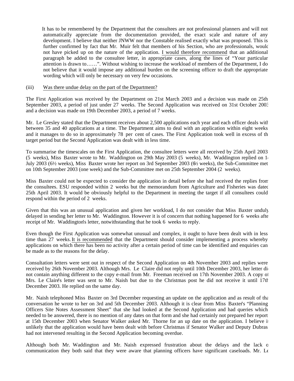It has to be remembered by the Department that the consultees are not professional planners and will not automatically appreciate from the documentation provided, the exact scale and nature of any development. I believe that neither JNWW nor the Constable realised exactly what was proposed. This is further confirmed by fact that Mr. Muir felt that members of his Section, who are professionals, would not have picked up on the nature of the application. I would therefore recommend that an additional paragraph be added to the consultee letter, in appropriate cases, along the lines of "Your particular attention is drawn to……". Without wishing to increase the workload of members of the Department, I do not believe that it would impose any additional burden on the screening officer to draft the appropriate wording which will only be necessary on very few occasions.

#### (iii) Was there undue delay on the part of the Department?

The First Application was received by the Department on 21st March 2003 and a decision was made on 25th September 2003, a period of just under 27 weeks. The Second Application was received on 31st October 2003 and a decision was made on 19th December 2003, a period of 7 weeks.

Mr. Le Gresley stated that the Department receives about 2,500 applications each year and each officer deals with between 35 and 40 applications at a time. The Department aims to deal with an application within eight weeks and it manages to do so in approximately 78 per cent of cases. The First Application took well in excess of th target period but the Second Application was dealt with in less time.

To summarise the timescales on the First Application, the consultee letters were all received by 25th April 2003 (5 weeks), Miss Baxter wrote to Mr. Waddington on 29th May 2003 (5 weeks), Mr. Waddington replied on  $1<sub>1</sub>$ July 2003 (6½ weeks), Miss Baxter wrote her report on 3rd September 2003 (6½ weeks), the Sub-Committee met on 10th September 2003 (one week) and the Sub-Committee met on 25th September 2004 (2 weeks).

Miss Baxter could not be expected to consider the application in detail before she had received the replies from the consultees. ESU responded within 2 weeks but the memorandum from Agriculture and Fisheries was dated 25th April 2003. It would be obviously helpful to the Department in meeting the target if all consultees could respond within the period of 2 weeks.

Given that this was an unusual application and given her workload, I do not consider that Miss Baxter unduly delayed in sending her letter to Mr. Waddington. However it is of concern that nothing happened for 6 weeks afte receipt of Mr. Waddington's letter, notwithstanding that he took 6 weeks to reply.

Even though the First Application was somewhat unusual and complex, it ought to have been dealt with in less time than 27 weeks.It is recommended that the Department should consider implementing a process whereby applications on which there has been no activity after a certain period of time can be identified and enquiries can be made as to the reasons for the delay.

Consultation letters were sent out in respect of the Second Application on 4th November 2003 and replies were received by 26th November 2003. Although Mrs. Le Claire did not reply until 10th December 2003, her letter did not contain anything different to the copy e-mail from Mr. Freeman received on 17th November 2003. A copy of Mrs. Le Claire's letter was sent to Mr. Naish but due to the Christmas post he did not receive it until 17th December 2003. He replied on the same day.

Mr. Naish telephoned Miss Baxter on 3rd December requesting an update on the application and as result of the conversation he wrote to her on 3rd and 5th December 2003. Although it is clear from Miss Baxter's "Planning Officers Site Notes Assessment Sheet" that she had looked at the Second Application and had queries which needed to be answered, there is no mention of any dates on that form and she had certainly not prepared her report at 15th December 2003 when Senator Walker asked Mr. Thorne for an up date on the application. I believe it unlikely that the application would have been dealt with before Christmas if Senator Walker and Deputy Dubras had not intervened resulting in the Second Application becoming overdue.

Although both Mr. Waddington and Mr. Naish expressed frustration about the delays and the lack of communication they both said that they were aware that planning officers have significant caseloads. Mr. Le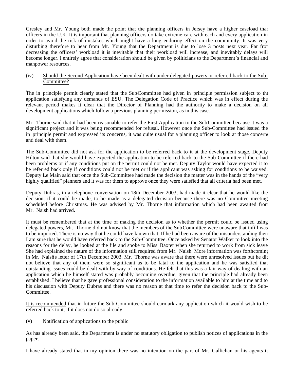Gresley and Mr. Young both made the point that the planning officers in Jersey have a higher caseload than officers in the U.K. It is important that planning officers do take extreme care with each and every application in order to avoid the risk of mistakes which might have a long enduring effect on the community. It was very disturbing therefore to hear from Mr. Young that the Department is due to lose 3 posts next year. Far from decreasing the officers' workload it is inevitable that their workload will increase, and inevitably delays will become longer. I entirely agree that consideration should be given by politicians to the Department's financial and manpower resources.

#### (iv) Should the Second Application have been dealt with under delegated powers or referred back to the Sub-Committee?

The in principle permit clearly stated that the Sub-Committee had given in principle permission subject to the application satisfying any demands of ESU. The Delegation Code of Practice which was in effect during the relevant period makes it clear that the Director of Planning had the authority to make a decision on all development applications which follow a previous planning permission, as in this case.

Mr. Thorne said that it had been reasonable to refer the First Application to the Sub-Committee because it was a significant project and it was being recommended for refusal. However once the Sub-Committee had issued the in principle permit and expressed its concerns, it was quite usual for a planning officer to look at those concerns and deal with them.

The Sub-Committee did not ask for the application to be referred back to it at the development stage. Deputy Hilton said that she would have expected the application to be referred back to the Sub-Committee if there had been problems or if any conditions put on the permit could not be met. Deputy Taylor would have expected it to be referred back only if conditions could not be met or if the applicant was asking for conditions to be waived. Deputy Le Main said that once the Sub-Committee had made the decision the matter was in the hands of the "very highly qualified" planners and it was for them to approve once they were satisfied that all criteria had been met.

Deputy Dubras, in a telephone conversation on 18th December 2003, had made it clear that he would like the decision, if it could be made, to be made as a delegated decision because there was no Committee meeting scheduled before Christmas. He was advised by Mr. Thorne that information which had been awaited from Mr. Naish had arrived.

It must be remembered that at the time of making the decision as to whether the permit could be issued using delegated powers, Mr. Thorne did not know that the members of the Sub-Committee were unaware that infill was to be imported. There is no way that he could have known that. If he had been aware of the misunderstanding then I am sure that he would have referred back to the Sub-Committee. Once asked by Senator Walker to look into the reasons for the delay, he looked at the file and spoke to Miss Baxter when she returned to work from sick leave. She had explained the nature of the information still required from Mr. Naish. More information was forthcoming in Mr. Naish's letter of 17th December 2003. Mr. Thorne was aware that there were unresolved issues but he dic not believe that any of them were so significant as to be fatal to the application and he was satisfied that outstanding issues could be dealt with by way of conditions. He felt that this was a fair way of dealing with an application which he himself stated was probably becoming overdue, given that the principle had already been established. I believe that he gave professional consideration to the information available to him at the time and to his discussion with Deputy Dubras and there was no reason at that time to refer the decision back to the Sub-Committee.

It is recommended that in future the Sub-Committee should earmark any application which it would wish to be referred back to it, if it does not do so already.

#### (v) Notification of applications to the public

As has already been said, the Department is under no statutory obligation to publish notices of applications in the paper.

I have already stated that in my opinion there was no intention on the part of Mr. Gallichan or his agents to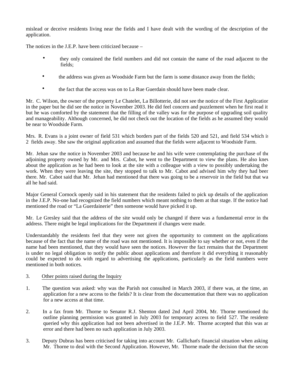mislead or deceive residents living near the fields and I have dealt with the wording of the description of the application.

The notices in the J.E.P. have been criticized because –

- they only contained the field numbers and did not contain the name of the road adjacent to the fields;
- the address was given as Woodside Farm but the farm is some distance away from the fields;
- the fact that the access was on to La Rue Guerdain should have been made clear.

Mr. C. Wilson, the owner of the property Le Chatelet, La Billotterie, did not see the notice of the First Application in the paper but he did see the notice in November 2003. He did feel concern and puzzlement when he first read it but he was comforted by the statement that the filling of the valley was for the purpose of upgrading soil quality and manageability. Although concerned, he did not check out the location of the fields as he assumed they would be near to Woodside Farm.

Mrs. R. Evans is a joint owner of field 531 which borders part of the fields 520 and 521, and field 534 which is 2 fields away. She saw the original application and assumed that the fields were adjacent to Woodside Farm.

Mr. Jehan saw the notice in November 2003 and because he and his wife were contemplating the purchase of the adjoining property owned by Mr. and Mrs. Cabot, he went to the Department to view the plans. He also knew about the application as he had been to look at the site with a colleague with a view to possibly undertaking the work. When they were leaving the site, they stopped to talk to Mr. Cabot and advised him why they had been there. Mr. Cabot said that Mr. Jehan had mentioned that there was going to be a reservoir in the field but that was all he had said.

Major General Cornock openly said in his statement that the residents failed to pick up details of the application in the J.E.P. No-one had recognized the field numbers which meant nothing to them at that stage. If the notice had mentioned the road or "La Guerdainerie" then someone would have picked it up.

Mr. Le Gresley said that the address of the site would only be changed if there was a fundamental error in the address. There might be legal implications for the Department if changes were made.

Understandably the residents feel that they were not given the opportunity to comment on the applications because of the fact that the name of the road was not mentioned. It is impossible to say whether or not, even if the name had been mentioned, that they would have seen the notices. However the fact remains that the Department is under no legal obligation to notify the public about applications and therefore it did everything it reasonably could be expected to do with regard to advertising the applications, particularly as the field numbers were mentioned in both notices.

#### 3. Other points raised during the Inquiry

- 1. The question was asked: why was the Parish not consulted in March 2003, if there was, at the time, an application for a new access to the fields? It is clear from the documentation that there was no application for a new access at that time.
- 2. In a fax from Mr. Thorne to Senator R.J. Shenton dated 2nd April 2004, Mr. Thorne mentioned that outline planning permission was granted in July 2003 for temporary access to field 527. The residents queried why this application had not been advertised in the J.E.P. Mr. Thorne accepted that this was an error and there had been no such application in July 2003.
- 3. Deputy Dubras has been criticised for taking into account Mr. Gallichan's financial situation when asking Mr. Thorne to deal with the Second Application. However, Mr. Thorne made the decision that the second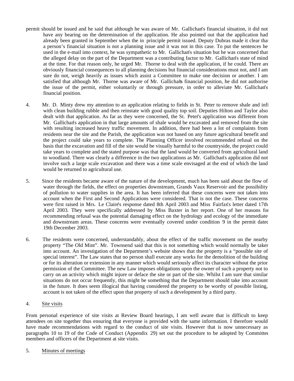- permit should be issued and he said that although he was aware of Mr. Gallichan's financial situation, it did not have any bearing on the determination of the application. He also pointed out that the application had already been granted in September when the in principle permit issued. Deputy Dubras made it clear that a person's financial situation is not a planning issue and it was not in this case. To put the sentences he used in the e-mail into context, he was sympathetic to Mr. Gallichan's situation but he was concerned that the alleged delay on the part of the Department was a contributing factor to Mr. Gallichan's state of mind at the time. For that reason only, he urged Mr. Thorne to deal with the application, if he could. There are obviously financial consequences to all planning decisions but financial considerations must not, and I am sure do not, weigh heavily as issues which assist a Committee to make one decision or another. I am satisfied that although Mr. Thorne was aware of Mr. Gallichans financial position, he did not authorise the issue of the permit, either voluntarily or through pressure, in order to alleviate Mr. Gallichan's financial position.
- 4. Mr. D. Minty drew my attention to an application relating to fields in St. Peter to remove shale and infil with clean building rubble and then reinstate with good quality top soil. Deputies Hilton and Taylor also dealt with that application. As far as they were concerned, the St. Peter's application was different from Mr. Gallichan's application in that large amounts of shale would be excavated and removed from the site with resulting increased heavy traffic movement. In addition, there had been a lot of complaints from residents near the site and the Parish, the application was not based on any future agricultural benefit and the project could take years to complete. The Planning Officer involved recommended refusal on the basis that the excavation and fill of the site would be visually harmful to the countryside, the project could take years to complete and the stated purpose was that the land would be converted from agricultural land to woodland. There was clearly a difference in the two applications as Mr. Gallichan's application did not involve such a large scale excavation and there was a time scale envisaged at the end of which the land would be returned to agricultural use.
- 5. Since the residents became aware of the nature of the development, much has been said about the flow of water through the fields, the effect on properties downstream, Grands Vaux Reservoir and the possibility of pollution to water supplies in the area. It has been inferred that these concerns were not taken into account when the First and Second Applications were considered. That is not the case. These concerns were first raised in Mrs. Le Claire's response dated 8th April 2003 and Miss Fairfax's letter dated 17th April 2003. They were specifically addressed by Miss Baxter in her report. One of her reasons for recommending refusal was the potential damaging effect on the hydrology and ecology of the immediate and downstream areas. These concerns were eventually covered under condition 9 in the permit dated 19th December 2003.
- 6. The residents were concerned, understandably, about the effect of the traffic movement on the nearby property "The Old Mint". Mr. Townsend said that this is not something which would normally be taken into account. An investigation of the Department's website shows that the property is a "possible site of special interest". The Law states that no person shall execute any works for the demolition of the building or for its alteration or extension in any manner which would seriously affect its character without the prior permission of the Committee. The new Law imposes obligations upon the owner of such a property not to carry on an activity which might injure or deface the site or part of the site. Whilst I am sure that similar situations do not occur frequently, this might be something that the Department should take into account in the future. It does seem illogical that having considered the property to be worthy of possible listing, account is not taken of the effect upon that property of such a development by a third party.

#### 4. Site visits

From personal experience of site visits at Review Board hearings, I am well aware that is difficult to keep attendees on site together thus ensuring that everyone is provided with the same information. I therefore would have made recommendations with regard to the conduct of site visits. However that is now unnecessary as paragraphs 10 to 19 of the Code of Conduct (Appendix 29) set out the procedure to be adopted by Committee members and officers of the Department at site visits.

5. Minutes of meetings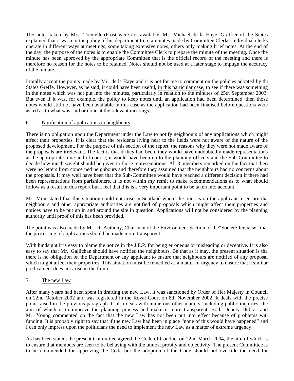The notes taken by Mrs. Tremellen-Frost were not available. Mr. Michael de la Haye, Greffier of the States explained that it was not the policy of his department to retain notes made by Committee Clerks. Individual clerks operate in different ways at meetings, some taking extensive notes, others only making brief notes. At the end of the day, the purpose of the notes is to enable the Committee Clerk to prepare the minute of the meeting. Once the minute has been approved by the appropriate Committee that is the official record of the meeting and there is therefore no reason for the notes to be retained. Notes should not be used at a later stage to impugn the accuracy of the minute.

I totally accept the points made by Mr. de la Haye and it is not for me to comment on the policies adopted by the States Greffe. However, as he said, it could have been useful, in this particular case, to see if there was something in the notes which was not put into the minutes, particularly in relation to the minutes of 25th September 2003. But even if it was, for example, the policy to keep notes until an application had been determined, then those notes would still not have been available in this case as the application had been finalised before questions were asked as to what was said or done at the relevant meetings.

#### 6. Notification of applications to neighbours

There is no obligation upon the Department under the Law to notify neighbours of any applications which might affect their properties. It is clear that the residents living near to the fields were not aware of the nature of the proposed development. For the purpose of this section of the report, the reasons why they were not made aware of the proposals are irrelevant. The fact is that if they had been, they would have undoubtedly made representations at the appropriate time and of course, it would have been up to the planning officers and the Sub-Committee to decide how much weight should be given to those representations. All 3 members remarked on the fact that there were no letters from concerned neighbours and therefore they assumed that the neighbours had no concerns about the proposals. It may well have been that the Sub-Committee would have reached a different decision if there had been representations from parishioners. It is not within my remit to make recommendations as to what should follow as a result of this report but I feel that this is a very important point to be taken into account.

Mr. Muir stated that this situation could not arise in Scotland where the onus is on the applicant to ensure that neighbours and other appropriate authorities are notified of proposals which might affect their properties and notices have to be put up in and around the site in question. Applications will not be considered by the planning authority until proof of this has been provided.

The point was also made by Mr. R. Anthony, Chairman of the Environment Section of the"Société Jersiaise" that the processing of applications should be made more transparent.

With hindsight it is easy to blame the notice in the J.E.P. for being erroneous or misleading or deceptive. It is also easy to say that Mr. Gallichan should have notified the neighbours. Be that as it may, the present situation is that there is no obligation on the Department or any applicant to ensure that neighbours are notified of any proposal which might affect their properties. This situation must be remedied as a matter of urgency to ensure that a similar predicament does not arise in the future.

# 7. The new Law

After many years had been spent in drafting the new Law, it was sanctioned by Order of Her Majesty in Council on 22nd October 2002 and was registered in the Royal Court on 8th November 2002. It deals with the precise point raised in the previous paragraph. It also deals with numerous other matters, including public inquiries, the aim of which is to improve the planning process and make it more transparent. Both Deputy Dubras and Mr. Young commented on the fact that the new Law has not been put into effect because of problems with funding. It is probably right to say that if the new Law had been in place "none of this would have happened" and I can only impress upon the politicians the need to implement the new Law as a matter of extreme urgency.

As has been stated, the present Committee agreed the Code of Conduct on 22nd March 2004, the aim of which is to ensure that members are seen to be behaving with the utmost probity and objectivity. The present Committee is to be commended for approving the Code but the adoption of the Code should not override the need for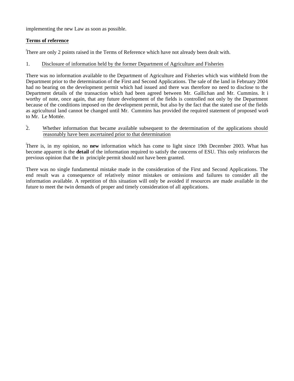implementing the new Law as soon as possible.

### **Terms of reference**

There are only 2 points raised in the Terms of Reference which have not already been dealt with.

### 1. Disclosure of information held by the former Department of Agriculture and Fisheries

There was no information available to the Department of Agriculture and Fisheries which was withheld from the Department prior to the determination of the First and Second Applications. The sale of the land in February 2004 had no bearing on the development permit which had issued and there was therefore no need to disclose to the Department details of the transaction which had been agreed between Mr. Gallichan and Mr. Cummins. It is worthy of note, once again, that any future development of the fields is controlled not only by the Department because of the conditions imposed on the development permit, but also by the fact that the stated use of the fields as agricultural land cannot be changed until Mr. Cummins has provided the required statement of proposed work to Mr. Le Mottée.

#### 2. Whether information that became available subsequent to the determination of the applications should reasonably have been ascertained prior to that determination

There is, in my opinion, no **new** information which has come to light since 19th December 2003. What has become apparent is the **detail** of the information required to satisfy the concerns of ESU. This only reinforces the previous opinion that the in principle permit should not have been granted.

There was no single fundamental mistake made in the consideration of the First and Second Applications. The end result was a consequence of relatively minor mistakes or omissions and failures to consider all the information available. A repetition of this situation will only be avoided if resources are made available in the future to meet the twin demands of proper and timely consideration of all applications.